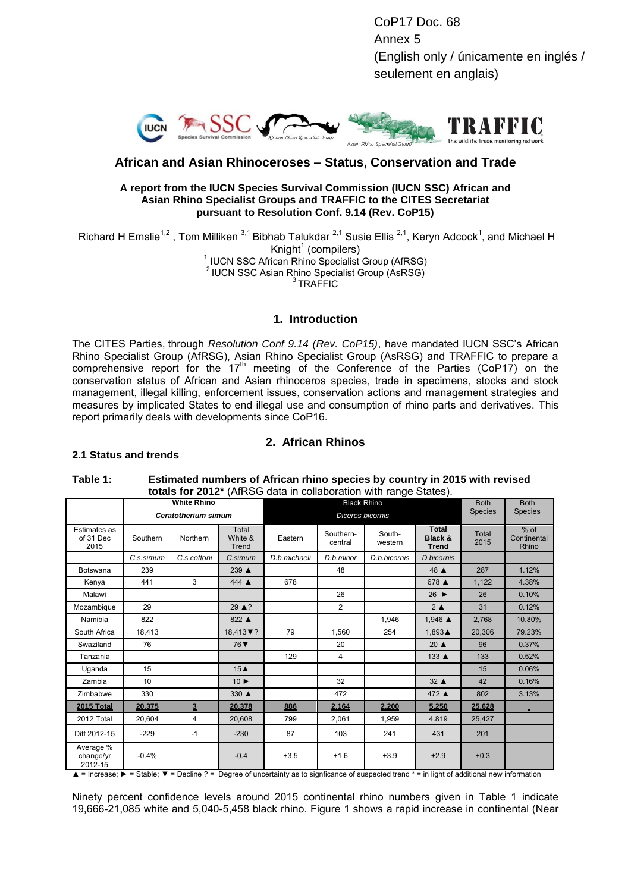CoP17 Doc. 68 Annex 5 (English only / únicamente en inglés / seulement en anglais)



# **African and Asian Rhinoceroses – Status, Conservation and Trade**

#### **A report from the IUCN Species Survival Commission (IUCN SSC) African and Asian Rhino Specialist Groups and TRAFFIC to the CITES Secretariat pursuant to Resolution Conf. 9.14 (Rev. CoP15)**

Richard H Emslie<sup>1,2</sup>, Tom Milliken  $3.1$  Bibhab Talukdar  $2.1$  Susie Ellis  $2.1$ , Keryn Adcock<sup>1</sup>, and Michael H Knight $<sup>1</sup>$  (compilers)</sup> 1 IUCN SSC African Rhino Specialist Group (AfRSG) <sup>2</sup> IUCN SSC Asian Rhino Specialist Group (AsRSG) <sup>3</sup>TRAFFIC

# **1. Introduction**

The CITES Parties, through *Resolution Conf 9.14 (Rev. CoP15)*, have mandated IUCN SSC's African Rhino Specialist Group (AfRSG), Asian Rhino Specialist Group (AsRSG) and TRAFFIC to prepare a comprehensive report for the  $17<sup>th</sup>$  meeting of the Conference of the Parties (CoP17) on the conservation status of African and Asian rhinoceros species, trade in specimens, stocks and stock management, illegal killing, enforcement issues, conservation actions and management strategies and measures by implicated States to end illegal use and consumption of rhino parts and derivatives. This report primarily deals with developments since CoP16.

## **2. African Rhinos**

#### **2.1 Status and trends**

### **Table 1: Estimated numbers of African rhino species by country in 2015 with revised totals for 2012\*** (AfRSG data in collaboration with range States).

|                                   |           | LULUIJ IUI LUTL            |                           | (An NOO data in collaboration with range Otalco). |                      |                   |                                         |                |                                |
|-----------------------------------|-----------|----------------------------|---------------------------|---------------------------------------------------|----------------------|-------------------|-----------------------------------------|----------------|--------------------------------|
|                                   |           | <b>White Rhino</b>         |                           |                                                   | <b>Black Rhino</b>   | <b>Both</b>       | <b>Both</b>                             |                |                                |
|                                   |           | <b>Ceratotherium simum</b> |                           |                                                   |                      | Diceros bicornis  |                                         | <b>Species</b> | <b>Species</b>                 |
| Estimates as<br>of 31 Dec<br>2015 | Southern  | Northern                   | Total<br>White &<br>Trend | Eastern                                           | Southern-<br>central | South-<br>western | <b>Total</b><br>Black &<br><b>Trend</b> | Total<br>2015  | $%$ of<br>Continental<br>Rhino |
|                                   | C.s.simum | C.s.cottoni                | C.simum                   | D.b.michaeli                                      | D.b.minor            | D.b.bicornis      | D.bicornis                              |                |                                |
| <b>Botswana</b>                   | 239       |                            | 239 ▲                     |                                                   | 48                   |                   | 48 ▲                                    | 287            | 1.12%                          |
| Kenya                             | 441       | 3                          | 444 ▲                     | 678                                               |                      |                   | 678 ▲                                   | 1,122          | 4.38%                          |
| Malawi                            |           |                            |                           |                                                   | 26                   |                   | $26$ $\blacktriangleright$              | 26             | 0.10%                          |
| Mozambique                        | 29        |                            | 29 $\blacktriangle$ ?     |                                                   | $\overline{2}$       |                   | $2 \triangle$                           | 31             | 0.12%                          |
| Namibia                           | 822       |                            | 822 ▲                     |                                                   |                      | 1.946             | 1,946 ▲                                 | 2,768          | 10.80%                         |
| South Africa                      | 18.413    |                            | 18,413▼?                  | 79                                                | 1.560                | 254               | $1.893 \triangle$                       | 20.306         | 79.23%                         |
| Swaziland                         | 76        |                            | 76▼                       |                                                   | 20                   |                   | 20 $\triangle$                          | 96             | 0.37%                          |
| Tanzania                          |           |                            |                           | 129                                               | 4                    |                   | $133 \triangle$                         | 133            | 0.52%                          |
| Uganda                            | 15        |                            | $15\triangle$             |                                                   |                      |                   |                                         | 15             | 0.06%                          |
| Zambia                            | 10        |                            | $10 \blacktriangleright$  |                                                   | 32                   |                   | 32 $\triangle$                          | 42             | 0.16%                          |
| Zimbabwe                          | 330       |                            | 330 ▲                     |                                                   | 472                  |                   | 472 ▲                                   | 802            | 3.13%                          |
| 2015 Total                        | 20,375    | $\overline{3}$             | 20,378                    | 886                                               | 2,164                | 2,200             | 5,250                                   | 25,628         |                                |
| 2012 Total                        | 20.604    | $\overline{4}$             | 20.608                    | 799                                               | 2.061                | 1.959             | 4.819                                   | 25.427         |                                |
| Diff 2012-15                      | $-229$    | $-1$                       | $-230$                    | 87                                                | 103                  | 241               | 431                                     | 201            |                                |
| Average %<br>change/yr<br>2012-15 | $-0.4%$   |                            | $-0.4$                    | $+3.5$                                            | $+1.6$               | $+3.9$            | $+2.9$                                  | $+0.3$         |                                |

▲ = Increase; ► = Stable; ▼ = Decline ? = Degree of uncertainty as to signficance of suspected trend \* = in light of additional new information

Ninety percent confidence levels around 2015 continental rhino numbers given in Table 1 indicate 19,666-21,085 white and 5,040-5,458 black rhino. Figure 1 shows a rapid increase in continental (Near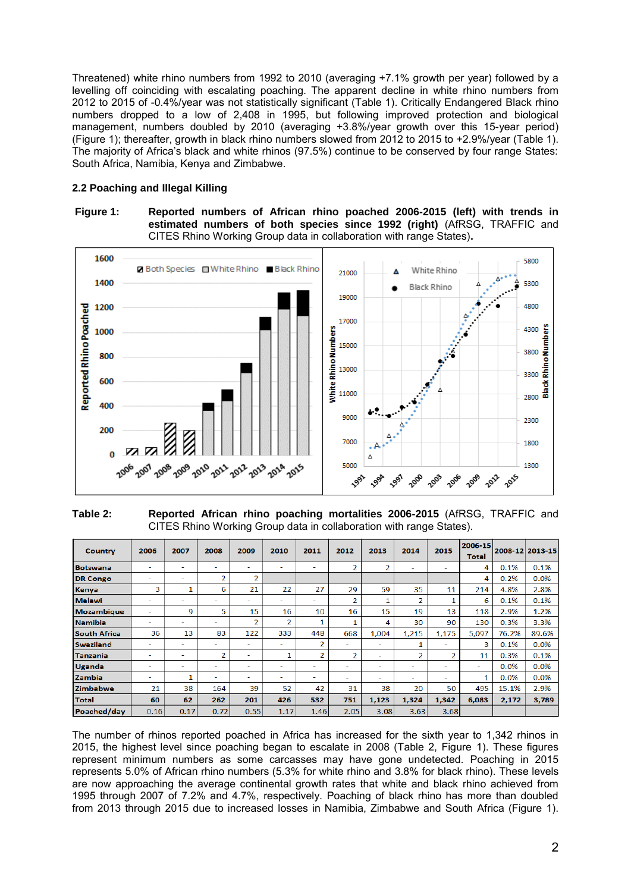Threatened) white rhino numbers from 1992 to 2010 (averaging +7.1% growth per year) followed by a levelling off coinciding with escalating poaching. The apparent decline in white rhino numbers from 2012 to 2015 of -0.4%/year was not statistically significant (Table 1). Critically Endangered Black rhino numbers dropped to a low of 2,408 in 1995, but following improved protection and biological management, numbers doubled by 2010 (averaging +3.8%/year growth over this 15-year period) (Figure 1); thereafter, growth in black rhino numbers slowed from 2012 to 2015 to +2.9%/year (Table 1). The majority of Africa's black and white rhinos (97.5%) continue to be conserved by four range States: South Africa, Namibia, Kenya and Zimbabwe.

### **2.2 Poaching and Illegal Killing**

 **Figure 1: Reported numbers of African rhino poached 2006-2015 (left) with trends in estimated numbers of both species since 1992 (right)** (AfRSG, TRAFFIC and CITES Rhino Working Group data in collaboration with range States)**.** 



**Table 2: Reported African rhino poaching mortalities 2006-2015** (AfRSG, TRAFFIC and CITES Rhino Working Group data in collaboration with range States).

| <b>Country</b>      | 2006                     | 2007                     | 2008           | 2009                     | 2010                     | 2011                     | 2012                     | 2013                     | 2014                     | 2015           | 2006-15<br><b>Total</b> |       | 2008-12 2013-15 |
|---------------------|--------------------------|--------------------------|----------------|--------------------------|--------------------------|--------------------------|--------------------------|--------------------------|--------------------------|----------------|-------------------------|-------|-----------------|
| <b>Botswana</b>     |                          | $\overline{\phantom{0}}$ | ۰              | $\overline{\phantom{0}}$ | $\overline{\phantom{0}}$ |                          | $\overline{2}$           | $\overline{2}$           | ۰                        |                | 4                       | 0.1%  | 0.1%            |
| <b>DR</b> Congo     | ۰                        | -                        | $\overline{2}$ | $\overline{2}$           |                          |                          |                          |                          |                          |                | 4                       | 0.2%  | 0.0%            |
| Kenya               | 3                        | 1                        | 6              | 21                       | 22                       | 27                       | 29                       | 59                       | 35                       | 11             | 214                     | 4.8%  | 2.8%            |
| <b>Malawi</b>       | ۰                        | ۰                        | ۰              | $\overline{\phantom{a}}$ | ۰                        | ٠                        | 2                        | 1                        | $\overline{2}$           | 1              | 6                       | 0.1%  | 0.1%            |
| <b>Mozambique</b>   | -                        | 9                        | 5              | 15                       | 16                       | 10                       | 16                       | 15                       | 19                       | 13             | 118                     | 2.9%  | 1.2%            |
| <b>Namibia</b>      |                          | $\overline{\phantom{0}}$ | -              | $\overline{2}$           | 2                        | 1                        | 1                        | 4                        | 30                       | 90             | 130                     | 0.3%  | 3.3%            |
| <b>South Africa</b> | 36                       | 13                       | 83             | 122                      | 333                      | 448                      | 668                      | 1,004                    | 1,215                    | 1,175          | 5.097                   | 76.2% | 89.6%           |
| <b>Swaziland</b>    | $\overline{\phantom{0}}$ | $\overline{\phantom{0}}$ | ۰              | $\overline{\phantom{0}}$ | ۰                        | 2                        | ۰                        | ٠                        |                          | ۰              | 3                       | 0.1%  | 0.0%            |
| <b>Tanzania</b>     | ۰                        | ۰                        | $\overline{2}$ | ۰                        | 1                        | $\overline{2}$           | $\overline{2}$           | ۰                        | 2                        | $\overline{2}$ | 11                      | 0.3%  | 0.1%            |
| <b>Uganda</b>       | ۰                        | ۰                        | ۰              | ۰                        | ٠                        |                          | $\overline{\phantom{a}}$ | -                        | -                        | -              | ٠                       | 0.0%  | 0.0%            |
| Zambia              | ۰                        | 1                        | -              | ۰                        | $\overline{\phantom{a}}$ | $\overline{\phantom{a}}$ | ۰                        | $\overline{\phantom{0}}$ | $\overline{\phantom{0}}$ | ۰              | 1                       | 0.0%  | 0.0%            |
| Zimbabwe            | 21                       | 38                       | 164            | 39                       | 52                       | 42                       | 31                       | 38                       | 20                       | 50             | 495                     | 15.1% | 2.9%            |
| <b>Total</b>        | 60                       | 62                       | 262            | 201                      | 426                      | 532                      | 751                      | 1,123                    | 1,324                    | 1,342          | 6,083                   | 2,172 | 3,789           |
| Poached/day         | 0.16                     | 0.17                     | 0.72           | 0.55                     | 1.17                     | 1.46                     | 2.05                     | 3.08                     | 3.63                     | 3.68           |                         |       |                 |

The number of rhinos reported poached in Africa has increased for the sixth year to 1,342 rhinos in 2015, the highest level since poaching began to escalate in 2008 (Table 2, Figure 1). These figures represent minimum numbers as some carcasses may have gone undetected. Poaching in 2015 represents 5.0% of African rhino numbers (5.3% for white rhino and 3.8% for black rhino). These levels are now approaching the average continental growth rates that white and black rhino achieved from 1995 through 2007 of 7.2% and 4.7%, respectively. Poaching of black rhino has more than doubled from 2013 through 2015 due to increased losses in Namibia, Zimbabwe and South Africa (Figure 1).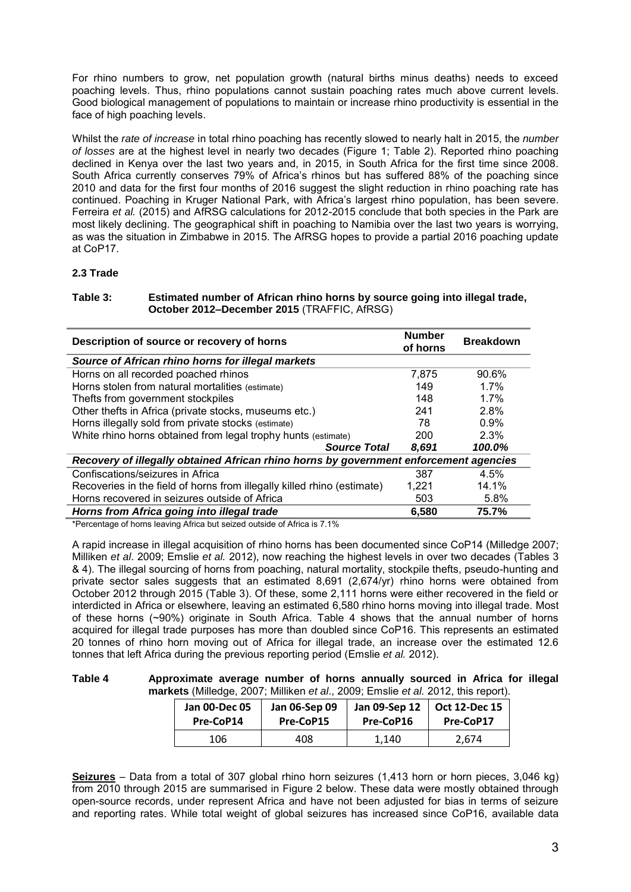For rhino numbers to grow, net population growth (natural births minus deaths) needs to exceed poaching levels. Thus, rhino populations cannot sustain poaching rates much above current levels. Good biological management of populations to maintain or increase rhino productivity is essential in the face of high poaching levels.

Whilst the *rate of increase* in total rhino poaching has recently slowed to nearly halt in 2015, the *number of losses* are at the highest level in nearly two decades (Figure 1; Table 2). Reported rhino poaching declined in Kenya over the last two years and, in 2015, in South Africa for the first time since 2008. South Africa currently conserves 79% of Africa's rhinos but has suffered 88% of the poaching since 2010 and data for the first four months of 2016 suggest the slight reduction in rhino poaching rate has continued. Poaching in Kruger National Park, with Africa's largest rhino population, has been severe. Ferreira *et al.* (2015) and AfRSG calculations for 2012-2015 conclude that both species in the Park are most likely declining. The geographical shift in poaching to Namibia over the last two years is worrying, as was the situation in Zimbabwe in 2015. The AfRSG hopes to provide a partial 2016 poaching update at CoP17.

# **2.3 Trade**

#### **Table 3: Estimated number of African rhino horns by source going into illegal trade, October 2012–December 2015** (TRAFFIC, AfRSG)

| Description of source or recovery of horns                                            | <b>Number</b><br>of horns | <b>Breakdown</b> |
|---------------------------------------------------------------------------------------|---------------------------|------------------|
| Source of African rhino horns for illegal markets                                     |                           |                  |
| Horns on all recorded poached rhinos                                                  | 7.875                     | 90.6%            |
| Horns stolen from natural mortalities (estimate)                                      | 149                       | 1.7%             |
| Thefts from government stockpiles                                                     | 148                       | 1.7%             |
| Other thefts in Africa (private stocks, museums etc.)                                 | 241                       | 2.8%             |
| Horns illegally sold from private stocks (estimate)                                   | 78                        | 0.9%             |
| White rhino horns obtained from legal trophy hunts (estimate)                         | 200                       | 2.3%             |
| <b>Source Total</b>                                                                   | 8,691                     | 100.0%           |
| Recovery of illegally obtained African rhino horns by government enforcement agencies |                           |                  |
| Confiscations/seizures in Africa                                                      | 387                       | 4.5%             |
| Recoveries in the field of horns from illegally killed rhino (estimate)               | 1,221                     | 14.1%            |
| Horns recovered in seizures outside of Africa                                         | 503                       | 5.8%             |
| Horns from Africa going into illegal trade                                            | 6.580                     | 75.7%            |

\*Percentage of horns leaving Africa but seized outside of Africa is 7.1%

A rapid increase in illegal acquisition of rhino horns has been documented since CoP14 (Milledge 2007; Milliken *et al*. 2009; Emslie *et al.* 2012), now reaching the highest levels in over two decades (Tables 3 & 4). The illegal sourcing of horns from poaching, natural mortality, stockpile thefts, pseudo-hunting and private sector sales suggests that an estimated 8,691 (2,674/yr) rhino horns were obtained from October 2012 through 2015 (Table 3). Of these, some 2,111 horns were either recovered in the field or interdicted in Africa or elsewhere, leaving an estimated 6,580 rhino horns moving into illegal trade. Most of these horns (~90%) originate in South Africa. Table 4 shows that the annual number of horns acquired for illegal trade purposes has more than doubled since CoP16. This represents an estimated 20 tonnes of rhino horn moving out of Africa for illegal trade, an increase over the estimated 12.6 tonnes that left Africa during the previous reporting period (Emslie *et al.* 2012).

### **Table 4 Approximate average number of horns annually sourced in Africa for illegal markets** (Milledge, 2007; Milliken *et al*., 2009; Emslie *et al.* 2012, this report).

| <b>Jan 00-Dec 05</b> | Jan 06-Sep 09 | Jan 09-Sep 12 | Oct 12-Dec 15 |
|----------------------|---------------|---------------|---------------|
| Pre-CoP14            | Pre-CoP15     | Pre-CoP16     | Pre-CoP17     |
| 106                  | 408           | 1.140         | 2.674         |

**Seizures** – Data from a total of 307 global rhino horn seizures (1,413 horn or horn pieces, 3,046 kg) from 2010 through 2015 are summarised in Figure 2 below. These data were mostly obtained through open-source records, under represent Africa and have not been adjusted for bias in terms of seizure and reporting rates. While total weight of global seizures has increased since CoP16, available data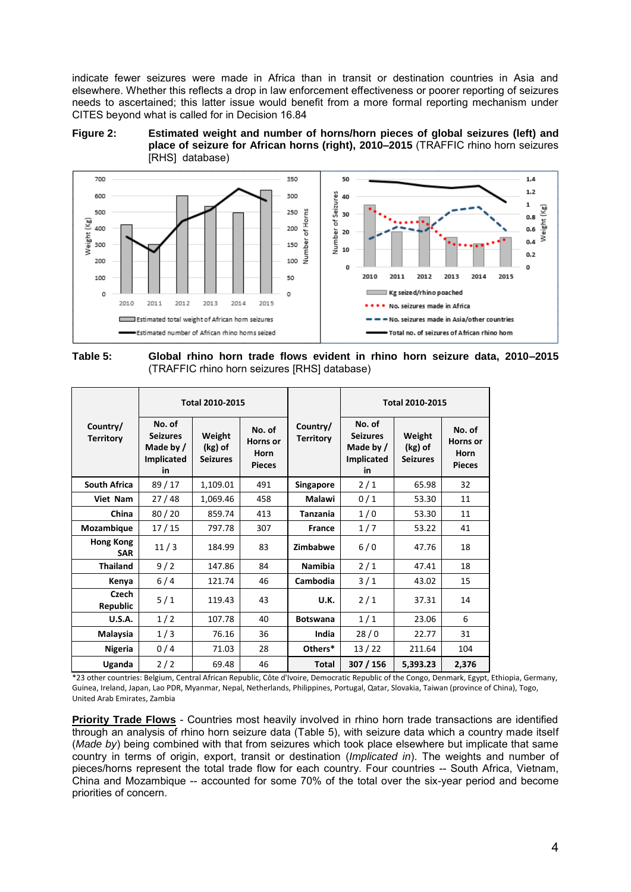indicate fewer seizures were made in Africa than in transit or destination countries in Asia and elsewhere. Whether this reflects a drop in law enforcement effectiveness or poorer reporting of seizures needs to ascertained; this latter issue would benefit from a more formal reporting mechanism under CITES beyond what is called for in Decision 16.84

#### **Figure 2: Estimated weight and number of horns/horn pieces of global seizures (left) and place of seizure for African horns (right), 2010–2015** (TRAFFIC rhino horn seizures [RHS] database)



**Table 5: Global rhino horn trade flows evident in rhino horn seizure data, 2010–2015**  (TRAFFIC rhino horn seizures [RHS] database)

|                                |                                                                     | <b>Total 2010-2015</b>                 |                                                    |                              | <b>Total 2010-2015</b>                                            |                                      |                                             |  |  |
|--------------------------------|---------------------------------------------------------------------|----------------------------------------|----------------------------------------------------|------------------------------|-------------------------------------------------------------------|--------------------------------------|---------------------------------------------|--|--|
| Country/<br><b>Territory</b>   | No. of<br><b>Seizures</b><br>Made by $/$<br><b>Implicated</b><br>in | Weight<br>$(kg)$ of<br><b>Seizures</b> | No. of<br><b>Horns</b> or<br>Horn<br><b>Pieces</b> | Country/<br><b>Territory</b> | No. of<br><b>Seizures</b><br>Made by /<br><b>Implicated</b><br>in | Weight<br>(kg) of<br><b>Seizures</b> | No. of<br>Horns or<br>Horn<br><b>Pieces</b> |  |  |
| <b>South Africa</b>            | 89/17                                                               | 1,109.01                               | 491                                                | <b>Singapore</b>             | 2/1                                                               | 65.98                                | 32                                          |  |  |
| Viet Nam                       | 27/48                                                               | 1,069.46                               | 458                                                | Malawi                       | 0/1                                                               | 53.30                                | 11                                          |  |  |
| China                          | 80/20                                                               | 859.74                                 | 413                                                | <b>Tanzania</b>              | 1/0                                                               | 53.30                                | 11                                          |  |  |
| Mozambique                     | 17/15                                                               | 797.78                                 | 307                                                | France                       | 1/7                                                               | 53.22                                | 41                                          |  |  |
| <b>Hong Kong</b><br><b>SAR</b> | 11/3                                                                | 184.99                                 | 83                                                 | Zimbabwe                     | 6/0                                                               | 47.76                                | 18                                          |  |  |
| <b>Thailand</b>                | 9/2                                                                 | 147.86                                 | 84                                                 | <b>Namibia</b>               | 2/1                                                               | 47.41                                | 18                                          |  |  |
| Kenya                          | 6/4                                                                 | 121.74                                 | 46                                                 | Cambodia                     | 3/1                                                               | 43.02                                | 15                                          |  |  |
| Czech<br><b>Republic</b>       | 5/1                                                                 | 119.43                                 | 43                                                 | U.K.                         | 2/1                                                               | 37.31                                | 14                                          |  |  |
| <b>U.S.A.</b>                  | 1/2                                                                 | 107.78                                 | 40                                                 | <b>Botswana</b>              | 1/1                                                               | 23.06                                | 6                                           |  |  |
| Malaysia                       | 1/3                                                                 | 76.16                                  | 36                                                 | India                        | 28/0                                                              | 22.77                                | 31                                          |  |  |
| <b>Nigeria</b>                 | 0/4                                                                 | 71.03                                  | 28                                                 | Others*                      | 13/22                                                             | 211.64                               | 104                                         |  |  |
| Uganda                         | 2/2                                                                 | 69.48                                  | 46                                                 | <b>Total</b>                 | 307 / 156                                                         | 5,393.23                             | 2,376                                       |  |  |

\*23 other countries: Belgium, Central African Republic, Côte d'Ivoire, Democratic Republic of the Congo, Denmark, Egypt, Ethiopia, Germany, Guinea, Ireland, Japan, Lao PDR, Myanmar, Nepal, Netherlands, Philippines, Portugal, Qatar, Slovakia, Taiwan (province of China), Togo, United Arab Emirates, Zambia

**Priority Trade Flows** - Countries most heavily involved in rhino horn trade transactions are identified through an analysis of rhino horn seizure data (Table 5), with seizure data which a country made itself (*Made by*) being combined with that from seizures which took place elsewhere but implicate that same country in terms of origin, export, transit or destination (*Implicated in*). The weights and number of pieces/horns represent the total trade flow for each country. Four countries -- South Africa, Vietnam, China and Mozambique -- accounted for some 70% of the total over the six-year period and become priorities of concern.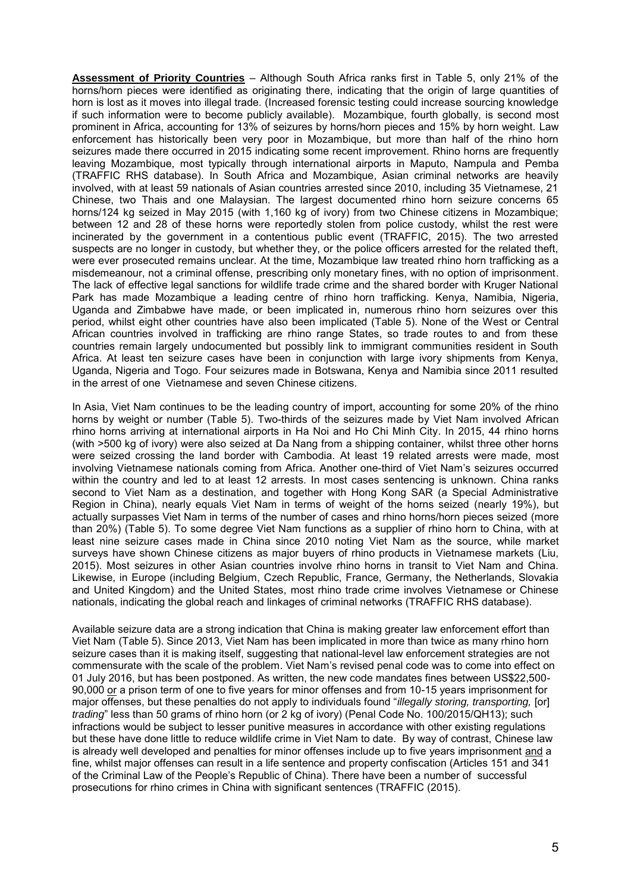**Assessment of Priority Countries** – Although South Africa ranks first in Table 5, only 21% of the horns/horn pieces were identified as originating there, indicating that the origin of large quantities of horn is lost as it moves into illegal trade. (Increased forensic testing could increase sourcing knowledge if such information were to become publicly available). Mozambique, fourth globally, is second most prominent in Africa, accounting for 13% of seizures by horns/horn pieces and 15% by horn weight. Law enforcement has historically been very poor in Mozambique, but more than half of the rhino horn seizures made there occurred in 2015 indicating some recent improvement. Rhino horns are frequently leaving Mozambique, most typically through international airports in Maputo, Nampula and Pemba (TRAFFIC RHS database). In South Africa and Mozambique, Asian criminal networks are heavily involved, with at least 59 nationals of Asian countries arrested since 2010, including 35 Vietnamese, 21 Chinese, two Thais and one Malaysian. The largest documented rhino horn seizure concerns 65 horns/124 kg seized in May 2015 (with 1,160 kg of ivory) from two Chinese citizens in Mozambique; between 12 and 28 of these horns were reportedly stolen from police custody, whilst the rest were incinerated by the government in a contentious public event (TRAFFIC, 2015). The two arrested suspects are no longer in custody, but whether they, or the police officers arrested for the related theft, were ever prosecuted remains unclear. At the time, Mozambique law treated rhino horn trafficking as a misdemeanour, not a criminal offense, prescribing only monetary fines, with no option of imprisonment. The lack of effective legal sanctions for wildlife trade crime and the shared border with Kruger National Park has made Mozambique a leading centre of rhino horn trafficking. Kenya, Namibia, Nigeria, Uganda and Zimbabwe have made, or been implicated in, numerous rhino horn seizures over this period, whilst eight other countries have also been implicated (Table 5). None of the West or Central African countries involved in trafficking are rhino range States, so trade routes to and from these countries remain largely undocumented but possibly link to immigrant communities resident in South Africa. At least ten seizure cases have been in conjunction with large ivory shipments from Kenya, Uganda, Nigeria and Togo. Four seizures made in Botswana, Kenya and Namibia since 2011 resulted in the arrest of one Vietnamese and seven Chinese citizens.

In Asia, Viet Nam continues to be the leading country of import, accounting for some 20% of the rhino horns by weight or number (Table 5). Two-thirds of the seizures made by Viet Nam involved African rhino horns arriving at international airports in Ha Noi and Ho Chi Minh City. In 2015, 44 rhino horns (with >500 kg of ivory) were also seized at Da Nang from a shipping container, whilst three other horns were seized crossing the land border with Cambodia. At least 19 related arrests were made, most involving Vietnamese nationals coming from Africa. Another one-third of Viet Nam's seizures occurred within the country and led to at least 12 arrests. In most cases sentencing is unknown. China ranks second to Viet Nam as a destination, and together with Hong Kong SAR (a Special Administrative Region in China), nearly equals Viet Nam in terms of weight of the horns seized (nearly 19%), but actually surpasses Viet Nam in terms of the number of cases and rhino horns/horn pieces seized (more than 20%) (Table 5). To some degree Viet Nam functions as a supplier of rhino horn to China, with at least nine seizure cases made in China since 2010 noting Viet Nam as the source, while market surveys have shown Chinese citizens as major buyers of rhino products in Vietnamese markets (Liu, 2015). Most seizures in other Asian countries involve rhino horns in transit to Viet Nam and China. Likewise, in Europe (including Belgium, Czech Republic, France, Germany, the Netherlands, Slovakia and United Kingdom) and the United States, most rhino trade crime involves Vietnamese or Chinese nationals, indicating the global reach and linkages of criminal networks (TRAFFIC RHS database).

Available seizure data are a strong indication that China is making greater law enforcement effort than Viet Nam (Table 5). Since 2013, Viet Nam has been implicated in more than twice as many rhino horn seizure cases than it is making itself, suggesting that national-level law enforcement strategies are not commensurate with the scale of the problem. Viet Nam's revised penal code was to come into effect on 01 July 2016, but has been postponed. As written, the new code mandates fines between US\$22,500- 90,000 or a prison term of one to five years for minor offenses and from 10-15 years imprisonment for major offenses, but these penalties do not apply to individuals found "*illegally storing, transporting,* [or] *trading*" less than 50 grams of rhino horn (or 2 kg of ivory) (Penal Code No. 100/2015/QH13); such infractions would be subject to lesser punitive measures in accordance with other existing regulations but these have done little to reduce wildlife crime in Viet Nam to date. By way of contrast, Chinese law is already well developed and penalties for minor offenses include up to five years imprisonment and a fine, whilst major offenses can result in a life sentence and property confiscation (Articles 151 and 341 of the Criminal Law of the People's Republic of China). There have been a number of successful prosecutions for rhino crimes in China with significant sentences (TRAFFIC (2015).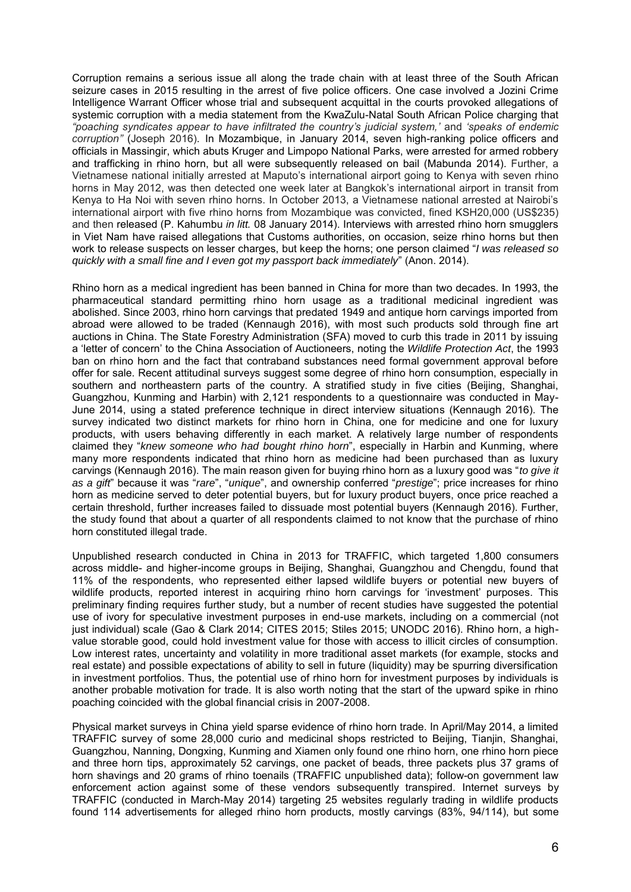Corruption remains a serious issue all along the trade chain with at least three of the South African seizure cases in 2015 resulting in the arrest of five police officers. One case involved a Jozini Crime Intelligence Warrant Officer whose trial and subsequent acquittal in the courts provoked allegations of systemic corruption with a media statement from the KwaZulu-Natal South African Police charging that "poaching syndicates appear to have infiltrated the country's judicial system,' and 'speaks of endemic *corruption"* (Joseph 2016). In Mozambique, in January 2014, seven high-ranking police officers and officials in Massingir, which abuts Kruger and Limpopo National Parks, were arrested for armed robbery and trafficking in rhino horn, but all were subsequently released on bail (Mabunda 2014). Further, a Vietnamese national initially arrested at Maputo's international airport going to Kenya with seven rhino horns in May 2012, was then detected one week later at Bangkok's international airport in transit from Kenya to Ha Noi with seven rhino horns. In October 2013, a Vietnamese national arrested at Nairobi's international airport with five rhino horns from Mozambique was convicted, fined KSH20,000 (US\$235) and then released (P. Kahumbu *in litt.* 08 January 2014). Interviews with arrested rhino horn smugglers in Viet Nam have raised allegations that Customs authorities, on occasion, seize rhino horns but then work to release suspects on lesser charges, but keep the horns; one person claimed "*I was released so quickly with a small fine and I even got my passport back immediately*" (Anon. 2014).

Rhino horn as a medical ingredient has been banned in China for more than two decades. In 1993, the pharmaceutical standard permitting rhino horn usage as a traditional medicinal ingredient was abolished. Since 2003, rhino horn carvings that predated 1949 and antique horn carvings imported from abroad were allowed to be traded (Kennaugh 2016), with most such products sold through fine art auctions in China. The State Forestry Administration (SFA) moved to curb this trade in 2011 by issuing a 'letter of concern' to the China Association of Auctioneers, noting the *Wildlife Protection Act*, the 1993 ban on rhino horn and the fact that contraband substances need formal government approval before offer for sale. Recent attitudinal surveys suggest some degree of rhino horn consumption, especially in southern and northeastern parts of the country. A stratified study in five cities (Beijing, Shanghai, Guangzhou, Kunming and Harbin) with 2,121 respondents to a questionnaire was conducted in May-June 2014, using a stated preference technique in direct interview situations (Kennaugh 2016). The survey indicated two distinct markets for rhino horn in China, one for medicine and one for luxury products, with users behaving differently in each market. A relatively large number of respondents claimed they "*knew someone who had bought rhino horn*", especially in Harbin and Kunming, where many more respondents indicated that rhino horn as medicine had been purchased than as luxury carvings (Kennaugh 2016). The main reason given for buying rhino horn as a luxury good was "*to give it as a gift*" because it was "*rare*", "*unique*", and ownership conferred "*prestige*"; price increases for rhino horn as medicine served to deter potential buyers, but for luxury product buyers, once price reached a certain threshold, further increases failed to dissuade most potential buyers (Kennaugh 2016). Further, the study found that about a quarter of all respondents claimed to not know that the purchase of rhino horn constituted illegal trade.

Unpublished research conducted in China in 2013 for TRAFFIC, which targeted 1,800 consumers across middle- and higher-income groups in Beijing, Shanghai, Guangzhou and Chengdu, found that 11% of the respondents, who represented either lapsed wildlife buyers or potential new buyers of wildlife products, reported interest in acquiring rhino horn carvings for 'investment' purposes. This preliminary finding requires further study, but a number of recent studies have suggested the potential use of ivory for speculative investment purposes in end-use markets, including on a commercial (not just individual) scale (Gao & Clark 2014; CITES 2015; Stiles 2015; UNODC 2016). Rhino horn, a highvalue storable good, could hold investment value for those with access to illicit circles of consumption. Low interest rates, uncertainty and volatility in more traditional asset markets (for example, stocks and real estate) and possible expectations of ability to sell in future (liquidity) may be spurring diversification in investment portfolios. Thus, the potential use of rhino horn for investment purposes by individuals is another probable motivation for trade. It is also worth noting that the start of the upward spike in rhino poaching coincided with the global financial crisis in 2007-2008.

Physical market surveys in China yield sparse evidence of rhino horn trade. In April/May 2014, a limited TRAFFIC survey of some 28,000 curio and medicinal shops restricted to Beijing, Tianjin, Shanghai, Guangzhou, Nanning, Dongxing, Kunming and Xiamen only found one rhino horn, one rhino horn piece and three horn tips, approximately 52 carvings, one packet of beads, three packets plus 37 grams of horn shavings and 20 grams of rhino toenails (TRAFFIC unpublished data); follow-on government law enforcement action against some of these vendors subsequently transpired. Internet surveys by TRAFFIC (conducted in March-May 2014) targeting 25 websites regularly trading in wildlife products found 114 advertisements for alleged rhino horn products, mostly carvings (83%, 94/114), but some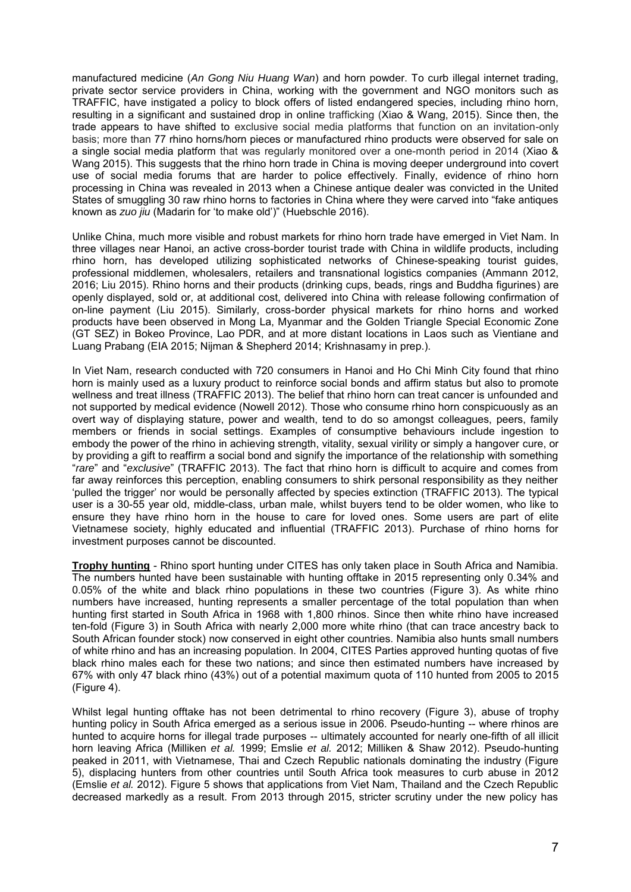manufactured medicine (*An Gong Niu Huang Wan*) and horn powder. To curb illegal internet trading, private sector service providers in China, working with the government and NGO monitors such as TRAFFIC, have instigated a policy to block offers of listed endangered species, including rhino horn, resulting in a significant and sustained drop in online trafficking (Xiao & Wang, 2015). Since then, the trade appears to have shifted to exclusive social media platforms that function on an invitation-only basis; more than 77 rhino horns/horn pieces or manufactured rhino products were observed for sale on a single social media platform that was regularly monitored over a one-month period in 2014 (Xiao & Wang 2015). This suggests that the rhino horn trade in China is moving deeper underground into covert use of social media forums that are harder to police effectively. Finally, evidence of rhino horn processing in China was revealed in 2013 when a Chinese antique dealer was convicted in the United States of smuggling 30 raw rhino horns to factories in China where they were carved into "fake antiques known as *zuo jiu* (Madarin for 'to make old')" (Huebschle 2016).

Unlike China, much more visible and robust markets for rhino horn trade have emerged in Viet Nam. In three villages near Hanoi, an active cross-border tourist trade with China in wildlife products, including rhino horn, has developed utilizing sophisticated networks of Chinese-speaking tourist guides, professional middlemen, wholesalers, retailers and transnational logistics companies (Ammann 2012, 2016; Liu 2015). Rhino horns and their products (drinking cups, beads, rings and Buddha figurines) are openly displayed, sold or, at additional cost, delivered into China with release following confirmation of on-line payment (Liu 2015). Similarly, cross-border physical markets for rhino horns and worked products have been observed in Mong La, Myanmar and the Golden Triangle Special Economic Zone (GT SEZ) in Bokeo Province, Lao PDR, and at more distant locations in Laos such as Vientiane and Luang Prabang (EIA 2015; Nijman & Shepherd 2014; Krishnasamy in prep.).

In Viet Nam, research conducted with 720 consumers in Hanoi and Ho Chi Minh City found that rhino horn is mainly used as a luxury product to reinforce social bonds and affirm status but also to promote wellness and treat illness (TRAFFIC 2013). The belief that rhino horn can treat cancer is unfounded and not supported by medical evidence (Nowell 2012). Those who consume rhino horn conspicuously as an overt way of displaying stature, power and wealth, tend to do so amongst colleagues, peers, family members or friends in social settings. Examples of consumptive behaviours include ingestion to embody the power of the rhino in achieving strength, vitality, sexual virility or simply a hangover cure, or by providing a gift to reaffirm a social bond and signify the importance of the relationship with something "*rare*" and "*exclusive*" (TRAFFIC 2013). The fact that rhino horn is difficult to acquire and comes from far away reinforces this perception, enabling consumers to shirk personal responsibility as they neither 'pulled the trigger' nor would be personally affected by species extinction (TRAFFIC 2013). The typical user is a 30-55 year old, middle-class, urban male, whilst buyers tend to be older women, who like to ensure they have rhino horn in the house to care for loved ones. Some users are part of elite Vietnamese society, highly educated and influential (TRAFFIC 2013). Purchase of rhino horns for investment purposes cannot be discounted.

**Trophy hunting** - Rhino sport hunting under CITES has only taken place in South Africa and Namibia. The numbers hunted have been sustainable with hunting offtake in 2015 representing only 0.34% and 0.05% of the white and black rhino populations in these two countries (Figure 3). As white rhino numbers have increased, hunting represents a smaller percentage of the total population than when hunting first started in South Africa in 1968 with 1,800 rhinos. Since then white rhino have increased ten-fold (Figure 3) in South Africa with nearly 2,000 more white rhino (that can trace ancestry back to South African founder stock) now conserved in eight other countries. Namibia also hunts small numbers of white rhino and has an increasing population. In 2004, CITES Parties approved hunting quotas of five black rhino males each for these two nations; and since then estimated numbers have increased by 67% with only 47 black rhino (43%) out of a potential maximum quota of 110 hunted from 2005 to 2015 (Figure 4).

Whilst legal hunting offtake has not been detrimental to rhino recovery (Figure 3), abuse of trophy hunting policy in South Africa emerged as a serious issue in 2006. Pseudo-hunting -- where rhinos are hunted to acquire horns for illegal trade purposes -- ultimately accounted for nearly one-fifth of all illicit horn leaving Africa (Milliken *et al.* 1999; Emslie *et al.* 2012; Milliken & Shaw 2012). Pseudo-hunting peaked in 2011, with Vietnamese, Thai and Czech Republic nationals dominating the industry (Figure 5), displacing hunters from other countries until South Africa took measures to curb abuse in 2012 (Emslie *et al.* 2012). Figure 5 shows that applications from Viet Nam, Thailand and the Czech Republic decreased markedly as a result. From 2013 through 2015, stricter scrutiny under the new policy has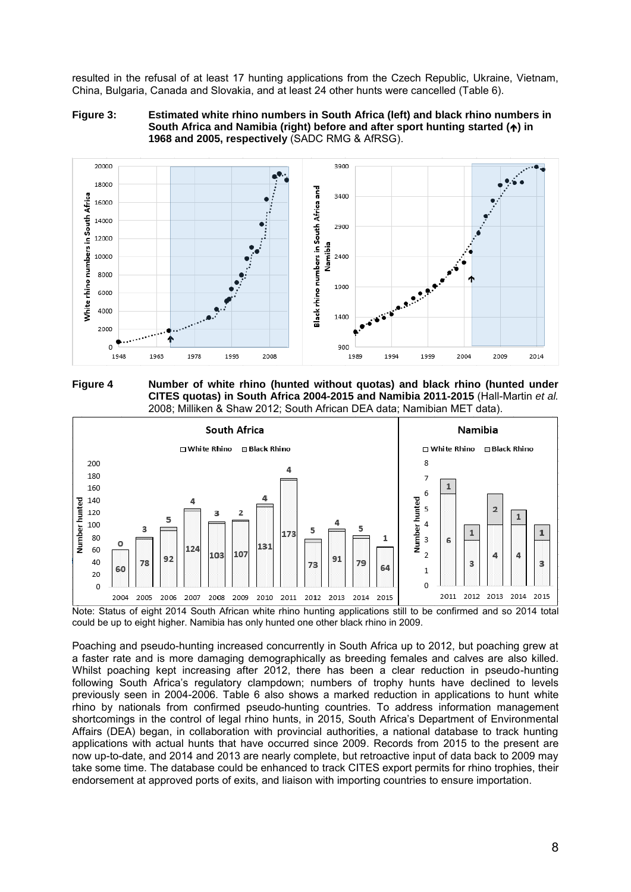resulted in the refusal of at least 17 hunting applications from the Czech Republic, Ukraine, Vietnam, China, Bulgaria, Canada and Slovakia, and at least 24 other hunts were cancelled (Table 6).









Note: Status of eight 2014 South African white rhino hunting applications still to be confirmed and so 2014 total could be up to eight higher. Namibia has only hunted one other black rhino in 2009.

Poaching and pseudo-hunting increased concurrently in South Africa up to 2012, but poaching grew at a faster rate and is more damaging demographically as breeding females and calves are also killed. Whilst poaching kept increasing after 2012, there has been a clear reduction in pseudo-hunting following South Africa's regulatory clampdown; numbers of trophy hunts have declined to levels previously seen in 2004-2006. Table 6 also shows a marked reduction in applications to hunt white rhino by nationals from confirmed pseudo-hunting countries. To address information management shortcomings in the control of legal rhino hunts, in 2015, South Africa's Department of Environmental Affairs (DEA) began, in collaboration with provincial authorities, a national database to track hunting applications with actual hunts that have occurred since 2009. Records from 2015 to the present are now up-to-date, and 2014 and 2013 are nearly complete, but retroactive input of data back to 2009 may take some time. The database could be enhanced to track CITES export permits for rhino trophies, their endorsement at approved ports of exits, and liaison with importing countries to ensure importation.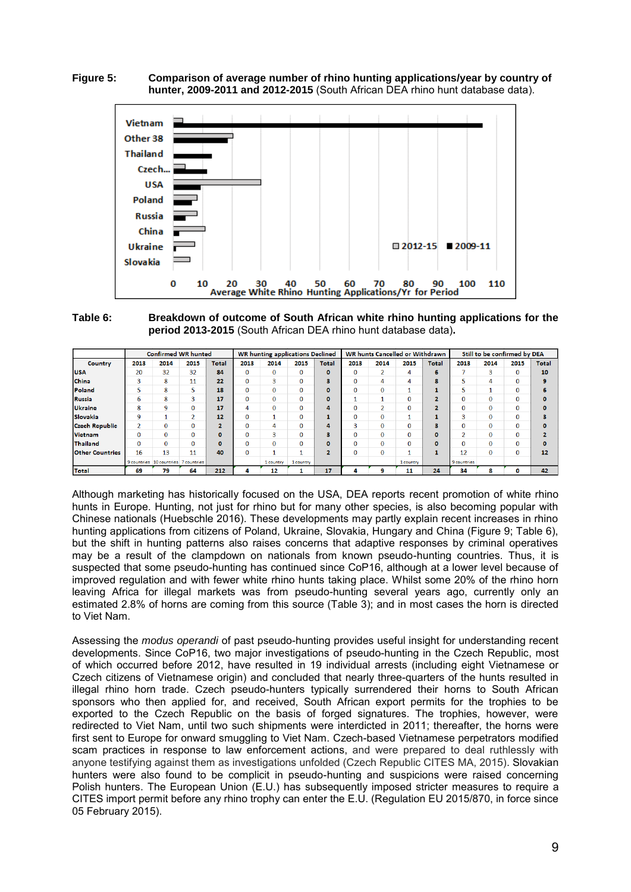**Figure 5: Comparison of average number of rhino hunting applications/year by country of hunter, 2009-2011 and 2012-2015** (South African DEA rhino hunt database data).



**Table 6: Breakdown of outcome of South African white rhino hunting applications for the period 2013-2015** (South African DEA rhino hunt database data)**.** 

|                        |                | <b>Confirmed WR hunted</b>           |                |                |              | <b>WR hunting applications Declined</b> |           |                |      | WR hunts Cancelled or Withdrawn |           |                |                | Still to be confirmed by DEA |              |              |
|------------------------|----------------|--------------------------------------|----------------|----------------|--------------|-----------------------------------------|-----------|----------------|------|---------------------------------|-----------|----------------|----------------|------------------------------|--------------|--------------|
| <b>Country</b>         | 2013           | 2014                                 | 2015           | <b>Total</b>   | 2013         | 2014                                    | 2015      | <b>Total</b>   | 2013 | 2014                            | 2015      | <b>Total</b>   | 2013           | 2014                         | 2015         | <b>Total</b> |
| <b>USA</b>             | 20             | 32                                   | 32             | 84             | 0            | 0                                       | 0         | 0              | 0    | $\overline{2}$                  | 4         | 6              | 7              | 3                            | $\Omega$     | 10           |
| China                  | 3              | 8                                    | 11             | 22             | $\Omega$     | 3                                       | 0         | з              | 0    | 4                               | 4         | 8              | 5              | 4                            | $\mathbf 0$  | 9            |
| Poland                 | 5              | 8                                    | 5              | 18             | 0            | 0                                       | 0         | o              | 0    | 0                               | ÷.        |                | 5              | ÷.                           | $\bf{0}$     | 6            |
| <b>Russia</b>          | 6              | 8                                    | 3              | 17             | $\Omega$     | 0                                       | $\Omega$  | $\bf{0}$       | ٠    |                                 | 0         | 2              | $\mathbf 0$    | 0                            | $\Omega$     | $\Omega$     |
| <b>Ukraine</b>         | 8              | 9                                    | 0              | 17             | 4            | 0                                       | O         | 4              | O    | $\overline{2}$                  | 0         | $\overline{2}$ | $\mathbf 0$    | 0                            | $\mathbf 0$  | $\mathbf o$  |
| <b>Slovakia</b>        | 9              |                                      | $\overline{2}$ | 12             | 0            |                                         | 0         |                | 0    | $\bf{0}$                        |           |                | 3              | $\mathbf{0}$                 | $\mathbf 0$  |              |
| <b>Czech Republic</b>  | $\overline{2}$ | $\mathbf 0$                          | $\mathbf{0}$   | $\overline{2}$ | 0            | Δ                                       | 0         | 4              | 3    | $\mathbf{0}$                    | 0         | з              | $\mathbf 0$    | 0                            | $\mathbf{0}$ | $\Omega$     |
| <b>Vietnam</b>         | $\mathbf 0$    | $\mathbf 0$                          | 0              | $\mathbf{0}$   | $\Omega$     | 3                                       | 0         | з              | 0    | $\mathbf 0$                     | 0         | ٥              | $\overline{2}$ | 0                            | $\mathbf 0$  | 2            |
| <b>Thailand</b>        | $\mathbf 0$    | $\bf{0}$                             | $\bf{0}$       | $\bf{0}$       | $\Omega$     | o                                       | 0         | o              | 0    | $\bf{0}$                        | 0         | ٥              | $\mathbf{0}$   | $\mathbf{0}$                 | $\mathbf 0$  | o            |
| <b>Other Countries</b> | 16             | 13                                   | 11             | 40             | $\mathbf{0}$ |                                         |           | $\overline{2}$ | 0    | $\mathbf 0$                     |           |                | 12             | $\mathbf{0}$                 | $\mathbf{0}$ | 12           |
|                        |                | 9 countries 10 countries 7 countries |                |                |              | 1 country                               | 1 country |                |      |                                 | 1 country |                | 9 countries    |                              |              |              |
| <b>Total</b>           | 69             | 79                                   | 64             | 212            | 4            | 12                                      |           | 17             | 4    | 9                               | 11        | 24             | 34             | 8                            | o            | 42           |

Although marketing has historically focused on the USA, DEA reports recent promotion of white rhino hunts in Europe. Hunting, not just for rhino but for many other species, is also becoming popular with Chinese nationals (Huebschle 2016). These developments may partly explain recent increases in rhino hunting applications from citizens of Poland, Ukraine, Slovakia, Hungary and China (Figure 9; Table 6), but the shift in hunting patterns also raises concerns that adaptive responses by criminal operatives may be a result of the clampdown on nationals from known pseudo-hunting countries. Thus, it is suspected that some pseudo-hunting has continued since CoP16, although at a lower level because of improved regulation and with fewer white rhino hunts taking place. Whilst some 20% of the rhino horn leaving Africa for illegal markets was from pseudo-hunting several years ago, currently only an estimated 2.8% of horns are coming from this source (Table 3); and in most cases the horn is directed to Viet Nam.

Assessing the *modus operandi* of past pseudo-hunting provides useful insight for understanding recent developments. Since CoP16, two major investigations of pseudo-hunting in the Czech Republic, most of which occurred before 2012, have resulted in 19 individual arrests (including eight Vietnamese or Czech citizens of Vietnamese origin) and concluded that nearly three-quarters of the hunts resulted in illegal rhino horn trade. Czech pseudo-hunters typically surrendered their horns to South African sponsors who then applied for, and received, South African export permits for the trophies to be exported to the Czech Republic on the basis of forged signatures. The trophies, however, were redirected to Viet Nam, until two such shipments were interdicted in 2011; thereafter, the horns were first sent to Europe for onward smuggling to Viet Nam. Czech-based Vietnamese perpetrators modified scam practices in response to law enforcement actions, and were prepared to deal ruthlessly with anyone testifying against them as investigations unfolded (Czech Republic CITES MA, 2015). Slovakian hunters were also found to be complicit in pseudo-hunting and suspicions were raised concerning Polish hunters. The European Union (E.U.) has subsequently imposed stricter measures to require a CITES import permit before any rhino trophy can enter the E.U. (Regulation EU 2015/870, in force since 05 February 2015).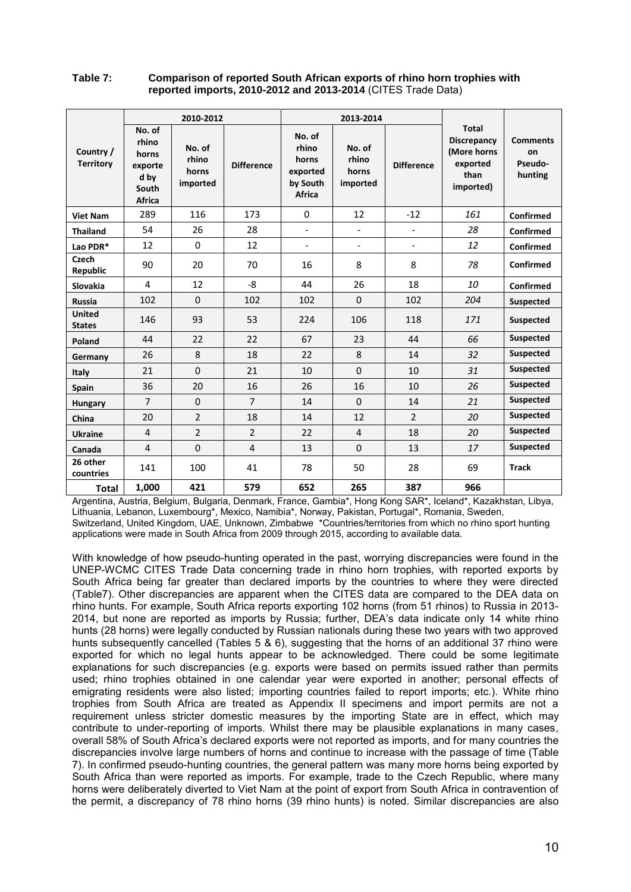### **Table 7: Comparison of reported South African exports of rhino horn trophies with reported imports, 2010-2012 and 2013-2014** (CITES Trade Data)

|                                 |                                                                       | 2010-2012                            |                   |                                                            | 2013-2014                            |                          |                                                                                    |                                             |
|---------------------------------|-----------------------------------------------------------------------|--------------------------------------|-------------------|------------------------------------------------------------|--------------------------------------|--------------------------|------------------------------------------------------------------------------------|---------------------------------------------|
| Country /<br><b>Territory</b>   | No. of<br>rhino<br>horns<br>exporte<br>d by<br>South<br><b>Africa</b> | No. of<br>rhino<br>horns<br>imported | <b>Difference</b> | No. of<br>rhino<br>horns<br>exported<br>by South<br>Africa | No. of<br>rhino<br>horns<br>imported | <b>Difference</b>        | <b>Total</b><br><b>Discrepancy</b><br>(More horns<br>exported<br>than<br>imported) | <b>Comments</b><br>on<br>Pseudo-<br>hunting |
| <b>Viet Nam</b>                 | 289                                                                   | 116                                  | 173               | $\mathbf 0$                                                | 12                                   | $-12$                    | 161                                                                                | Confirmed                                   |
| <b>Thailand</b>                 | 54                                                                    | 26                                   | 28                | $\overline{\phantom{a}}$                                   | $\overline{\phantom{a}}$             | $\overline{\phantom{a}}$ | 28                                                                                 | Confirmed                                   |
| Lao PDR*                        | 12                                                                    | $\Omega$                             | 12                | $\overline{\phantom{a}}$                                   | $\overline{\phantom{a}}$             | $\overline{\phantom{a}}$ | 12                                                                                 | Confirmed                                   |
| <b>Czech</b><br><b>Republic</b> | 90                                                                    | 20                                   | 70                | 16                                                         | 8                                    | 8                        | 78                                                                                 | Confirmed                                   |
| Slovakia                        | 4                                                                     | 12                                   | $-8$              | 44                                                         | 26                                   | 18                       | 10                                                                                 | Confirmed                                   |
| <b>Russia</b>                   | 102                                                                   | $\Omega$                             | 102               | 102                                                        | 0                                    | 102                      | 204                                                                                | <b>Suspected</b>                            |
| <b>United</b><br><b>States</b>  | 146                                                                   | 93                                   | 53                | 224                                                        | 106                                  | 118                      | 171                                                                                | <b>Suspected</b>                            |
| Poland                          | 44                                                                    | 22                                   | 22                | 67                                                         | 23                                   | 44                       | 66                                                                                 | <b>Suspected</b>                            |
| Germany                         | 26                                                                    | 8                                    | 18                | 22                                                         | 8                                    | 14                       | 32                                                                                 | <b>Suspected</b>                            |
| Italy                           | 21                                                                    | $\Omega$                             | 21                | 10                                                         | 0                                    | 10                       | 31                                                                                 | <b>Suspected</b>                            |
| Spain                           | 36                                                                    | 20                                   | 16                | 26                                                         | 16                                   | 10                       | 26                                                                                 | <b>Suspected</b>                            |
| <b>Hungary</b>                  | $\overline{7}$                                                        | $\Omega$                             | $\overline{7}$    | 14                                                         | $\Omega$                             | 14                       | 21                                                                                 | <b>Suspected</b>                            |
| China                           | 20                                                                    | $\overline{2}$                       | 18                | 14                                                         | 12                                   | $\overline{2}$           | 20                                                                                 | <b>Suspected</b>                            |
| Ukraine                         | 4                                                                     | $\overline{2}$                       | $\overline{2}$    | 22                                                         | 4                                    | 18                       | 20                                                                                 | <b>Suspected</b>                            |
| Canada                          | $\overline{4}$                                                        | $\mathbf 0$                          | $\overline{4}$    | 13                                                         | $\mathbf 0$                          | 13                       | 17                                                                                 | <b>Suspected</b>                            |
| 26 other<br>countries           | 141                                                                   | 100                                  | 41                | 78                                                         | 50                                   | 28                       | 69                                                                                 | <b>Track</b>                                |
| <b>Total</b>                    | 1,000                                                                 | 421                                  | 579               | 652                                                        | 265                                  | 387                      | 966                                                                                |                                             |

Argentina, Austria, Belgium, Bulgaria, Denmark, France, Gambia\*, Hong Kong SAR\*, Iceland\*, Kazakhstan, Libya, Lithuania, Lebanon, Luxembourg\*, Mexico, Namibia\*, Norway, Pakistan, Portugal\*, Romania, Sweden, Switzerland, United Kingdom, UAE, Unknown, Zimbabwe \*Countries/territories from which no rhino sport hunting applications were made in South Africa from 2009 through 2015, according to available data.

With knowledge of how pseudo-hunting operated in the past, worrying discrepancies were found in the UNEP-WCMC CITES Trade Data concerning trade in rhino horn trophies, with reported exports by South Africa being far greater than declared imports by the countries to where they were directed (Table7). Other discrepancies are apparent when the CITES data are compared to the DEA data on rhino hunts. For example, South Africa reports exporting 102 horns (from 51 rhinos) to Russia in 2013- 2014, but none are reported as imports by Russia; further, DEA's data indicate only 14 white rhino hunts (28 horns) were legally conducted by Russian nationals during these two years with two approved hunts subsequently cancelled (Tables 5 & 6), suggesting that the horns of an additional 37 rhino were exported for which no legal hunts appear to be acknowledged. There could be some legitimate explanations for such discrepancies (e.g. exports were based on permits issued rather than permits used; rhino trophies obtained in one calendar year were exported in another; personal effects of emigrating residents were also listed; importing countries failed to report imports; etc.). White rhino trophies from South Africa are treated as Appendix II specimens and import permits are not a requirement unless stricter domestic measures by the importing State are in effect, which may contribute to under-reporting of imports. Whilst there may be plausible explanations in many cases, overall 58% of South Africa's declared exports were not reported as imports, and for many countries the discrepancies involve large numbers of horns and continue to increase with the passage of time (Table 7). In confirmed pseudo-hunting countries, the general pattern was many more horns being exported by South Africa than were reported as imports. For example, trade to the Czech Republic, where many horns were deliberately diverted to Viet Nam at the point of export from South Africa in contravention of the permit, a discrepancy of 78 rhino horns (39 rhino hunts) is noted. Similar discrepancies are also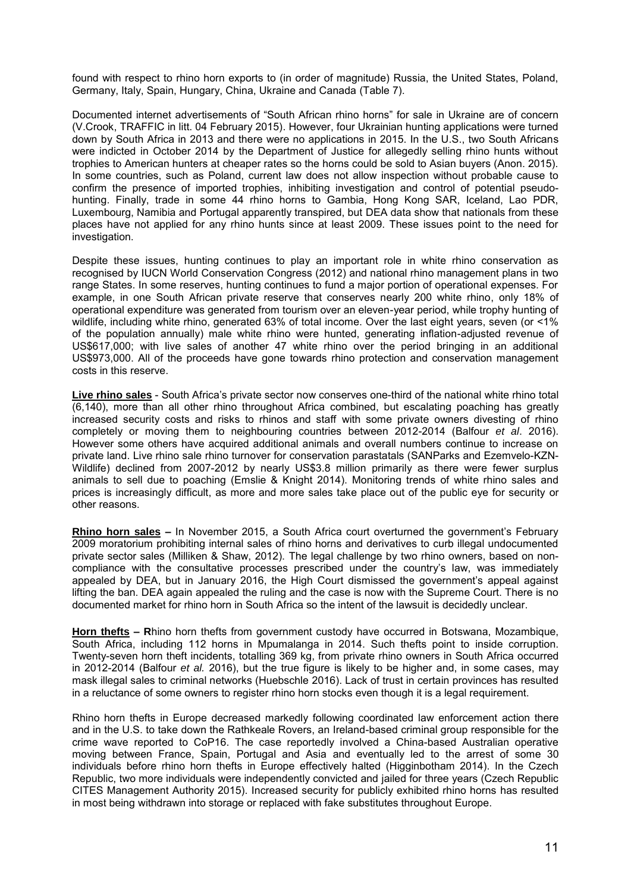found with respect to rhino horn exports to (in order of magnitude) Russia, the United States, Poland, Germany, Italy, Spain, Hungary, China, Ukraine and Canada (Table 7).

Documented internet advertisements of "South African rhino horns" for sale in Ukraine are of concern (V.Crook, TRAFFIC in litt. 04 February 2015). However, four Ukrainian hunting applications were turned down by South Africa in 2013 and there were no applications in 2015. In the U.S., two South Africans were indicted in October 2014 by the Department of Justice for allegedly selling rhino hunts without trophies to American hunters at cheaper rates so the horns could be sold to Asian buyers (Anon. 2015). In some countries, such as Poland, current law does not allow inspection without probable cause to confirm the presence of imported trophies, inhibiting investigation and control of potential pseudohunting. Finally, trade in some 44 rhino horns to Gambia, Hong Kong SAR, Iceland, Lao PDR, Luxembourg, Namibia and Portugal apparently transpired, but DEA data show that nationals from these places have not applied for any rhino hunts since at least 2009. These issues point to the need for investigation.

Despite these issues, hunting continues to play an important role in white rhino conservation as recognised by IUCN World Conservation Congress (2012) and national rhino management plans in two range States. In some reserves, hunting continues to fund a major portion of operational expenses. For example, in one South African private reserve that conserves nearly 200 white rhino, only 18% of operational expenditure was generated from tourism over an eleven-year period, while trophy hunting of wildlife, including white rhino, generated 63% of total income. Over the last eight years, seven (or <1% of the population annually) male white rhino were hunted, generating inflation-adjusted revenue of US\$617,000; with live sales of another 47 white rhino over the period bringing in an additional US\$973,000. All of the proceeds have gone towards rhino protection and conservation management costs in this reserve.

**Live rhino sales** - South Africa's private sector now conserves one-third of the national white rhino total (6,140), more than all other rhino throughout Africa combined, but escalating poaching has greatly increased security costs and risks to rhinos and staff with some private owners divesting of rhino completely or moving them to neighbouring countries between 2012-2014 (Balfour *et al*. 2016). However some others have acquired additional animals and overall numbers continue to increase on private land. Live rhino sale rhino turnover for conservation parastatals (SANParks and Ezemvelo-KZN-Wildlife) declined from 2007-2012 by nearly US\$3.8 million primarily as there were fewer surplus animals to sell due to poaching (Emslie & Knight 2014). Monitoring trends of white rhino sales and prices is increasingly difficult, as more and more sales take place out of the public eye for security or other reasons.

**Rhino horn sales –** In November 2015, a South Africa court overturned the government's February 2009 moratorium prohibiting internal sales of rhino horns and derivatives to curb illegal undocumented private sector sales (Milliken & Shaw, 2012). The legal challenge by two rhino owners, based on noncompliance with the consultative processes prescribed under the country's law, was immediately appealed by DEA, but in January 2016, the High Court dismissed the government's appeal against lifting the ban. DEA again appealed the ruling and the case is now with the Supreme Court. There is no documented market for rhino horn in South Africa so the intent of the lawsuit is decidedly unclear.

**Horn thefts – R**hino horn thefts from government custody have occurred in Botswana, Mozambique, South Africa, including 112 horns in Mpumalanga in 2014. Such thefts point to inside corruption. Twenty-seven horn theft incidents, totalling 369 kg, from private rhino owners in South Africa occurred in 2012-2014 (Balfour *et al.* 2016), but the true figure is likely to be higher and, in some cases, may mask illegal sales to criminal networks (Huebschle 2016). Lack of trust in certain provinces has resulted in a reluctance of some owners to register rhino horn stocks even though it is a legal requirement.

Rhino horn thefts in Europe decreased markedly following coordinated law enforcement action there and in the U.S. to take down the Rathkeale Rovers, an Ireland-based criminal group responsible for the crime wave reported to CoP16. The case reportedly involved a China-based Australian operative moving between France, Spain, Portugal and Asia and eventually led to the arrest of some 30 individuals before rhino horn thefts in Europe effectively halted (Higginbotham 2014). In the Czech Republic, two more individuals were independently convicted and jailed for three years (Czech Republic CITES Management Authority 2015). Increased security for publicly exhibited rhino horns has resulted in most being withdrawn into storage or replaced with fake substitutes throughout Europe.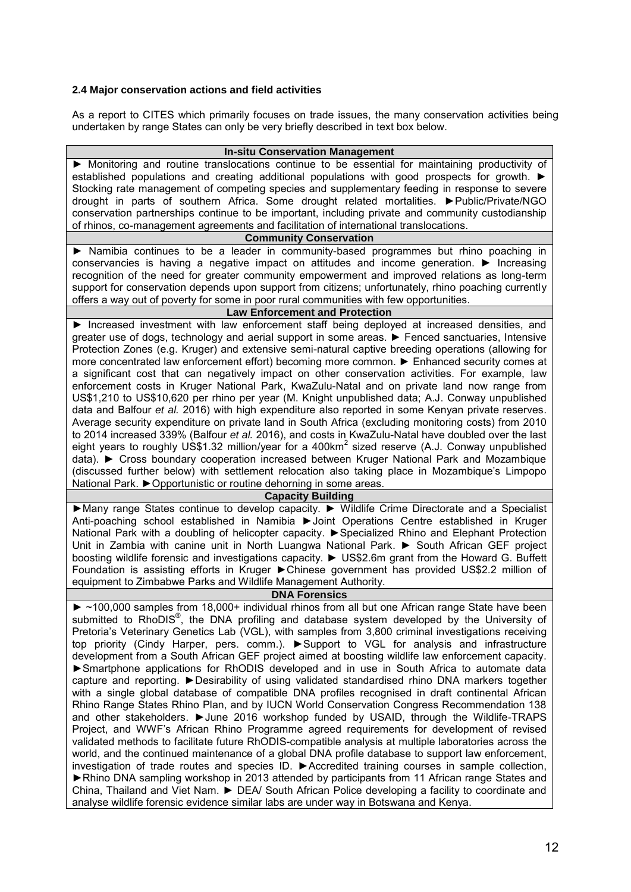# **2.4 Major conservation actions and field activities**

As a report to CITES which primarily focuses on trade issues, the many conservation activities being undertaken by range States can only be very briefly described in text box below.

| <b>In-situ Conservation Management</b>                                                                                                                                                                                                                                                                                                                                                                                                                                                                                                                                                                                                                                                                                                                                                                                                                                                                                                                                                                                                                                                                                                                                                                                                                                                                                                                                                                                                                                                                                                                                                                                                                                                                                |
|-----------------------------------------------------------------------------------------------------------------------------------------------------------------------------------------------------------------------------------------------------------------------------------------------------------------------------------------------------------------------------------------------------------------------------------------------------------------------------------------------------------------------------------------------------------------------------------------------------------------------------------------------------------------------------------------------------------------------------------------------------------------------------------------------------------------------------------------------------------------------------------------------------------------------------------------------------------------------------------------------------------------------------------------------------------------------------------------------------------------------------------------------------------------------------------------------------------------------------------------------------------------------------------------------------------------------------------------------------------------------------------------------------------------------------------------------------------------------------------------------------------------------------------------------------------------------------------------------------------------------------------------------------------------------------------------------------------------------|
| • Monitoring and routine translocations continue to be essential for maintaining productivity of<br>established populations and creating additional populations with good prospects for growth. ►<br>Stocking rate management of competing species and supplementary feeding in response to severe<br>drought in parts of southern Africa. Some drought related mortalities. ▶ Public/Private/NGO<br>conservation partnerships continue to be important, including private and community custodianship<br>of rhinos, co-management agreements and facilitation of international translocations.                                                                                                                                                                                                                                                                                                                                                                                                                                                                                                                                                                                                                                                                                                                                                                                                                                                                                                                                                                                                                                                                                                                       |
| <b>Community Conservation</b>                                                                                                                                                                                                                                                                                                                                                                                                                                                                                                                                                                                                                                                                                                                                                                                                                                                                                                                                                                                                                                                                                                                                                                                                                                                                                                                                                                                                                                                                                                                                                                                                                                                                                         |
| In Namibia continues to be a leader in community-based programmes but rhino poaching in<br>conservancies is having a negative impact on attitudes and income generation. > Increasing<br>recognition of the need for greater community empowerment and improved relations as long-term<br>support for conservation depends upon support from citizens; unfortunately, rhino poaching currently<br>offers a way out of poverty for some in poor rural communities with few opportunities.                                                                                                                                                                                                                                                                                                                                                                                                                                                                                                                                                                                                                                                                                                                                                                                                                                                                                                                                                                                                                                                                                                                                                                                                                              |
| <b>Law Enforcement and Protection</b><br>Increased investment with law enforcement staff being deployed at increased densities, and                                                                                                                                                                                                                                                                                                                                                                                                                                                                                                                                                                                                                                                                                                                                                                                                                                                                                                                                                                                                                                                                                                                                                                                                                                                                                                                                                                                                                                                                                                                                                                                   |
| greater use of dogs, technology and aerial support in some areas. ▶ Fenced sanctuaries, Intensive<br>Protection Zones (e.g. Kruger) and extensive semi-natural captive breeding operations (allowing for<br>more concentrated law enforcement effort) becoming more common. ► Enhanced security comes at<br>a significant cost that can negatively impact on other conservation activities. For example, law<br>enforcement costs in Kruger National Park, KwaZulu-Natal and on private land now range from<br>US\$1,210 to US\$10,620 per rhino per year (M. Knight unpublished data; A.J. Conway unpublished<br>data and Balfour et al. 2016) with high expenditure also reported in some Kenyan private reserves.<br>Average security expenditure on private land in South Africa (excluding monitoring costs) from 2010<br>to 2014 increased 339% (Balfour et al. 2016), and costs in KwaZulu-Natal have doubled over the last<br>eight years to roughly US\$1.32 million/year for a 400km <sup>2</sup> sized reserve (A.J. Conway unpublished<br>data). ► Cross boundary cooperation increased between Kruger National Park and Mozambique<br>(discussed further below) with settlement relocation also taking place in Mozambique's Limpopo<br>National Park. ▶ Opportunistic or routine dehorning in some areas.                                                                                                                                                                                                                                                                                                                                                                                               |
| <b>Capacity Building</b>                                                                                                                                                                                                                                                                                                                                                                                                                                                                                                                                                                                                                                                                                                                                                                                                                                                                                                                                                                                                                                                                                                                                                                                                                                                                                                                                                                                                                                                                                                                                                                                                                                                                                              |
| ▶ Many range States continue to develop capacity. ▶ Wildlife Crime Directorate and a Specialist<br>Anti-poaching school established in Namibia ▶Joint Operations Centre established in Kruger<br>National Park with a doubling of helicopter capacity. ▶Specialized Rhino and Elephant Protection<br>Unit in Zambia with canine unit in North Luangwa National Park. > South African GEF project<br>boosting wildlife forensic and investigations capacity. ▶ US\$2.6m grant from the Howard G. Buffett<br>Foundation is assisting efforts in Kruger ▶ Chinese government has provided US\$2.2 million of<br>equipment to Zimbabwe Parks and Wildlife Management Authority.                                                                                                                                                                                                                                                                                                                                                                                                                                                                                                                                                                                                                                                                                                                                                                                                                                                                                                                                                                                                                                           |
| <b>DNA Forensics</b>                                                                                                                                                                                                                                                                                                                                                                                                                                                                                                                                                                                                                                                                                                                                                                                                                                                                                                                                                                                                                                                                                                                                                                                                                                                                                                                                                                                                                                                                                                                                                                                                                                                                                                  |
| ▶ ~100,000 samples from 18,000+ individual rhinos from all but one African range State have been<br>submitted to RhoDIS®, the DNA profiling and database system developed by the University of<br>Pretoria's Veterinary Genetics Lab (VGL), with samples from 3,800 criminal investigations receiving<br>top priority (Cindy Harper, pers. comm.). > Support to VGL for analysis and infrastructure<br>development from a South African GEF project aimed at boosting wildlife law enforcement capacity.<br>Smartphone applications for RhODIS developed and in use in South Africa to automate data<br>capture and reporting. ▶ Desirability of using validated standardised rhino DNA markers together<br>with a single global database of compatible DNA profiles recognised in draft continental African<br>Rhino Range States Rhino Plan, and by IUCN World Conservation Congress Recommendation 138<br>and other stakeholders. ▶ June 2016 workshop funded by USAID, through the Wildlife-TRAPS<br>Project, and WWF's African Rhino Programme agreed requirements for development of revised<br>validated methods to facilitate future RhODIS-compatible analysis at multiple laboratories across the<br>world, and the continued maintenance of a global DNA profile database to support law enforcement,<br>investigation of trade routes and species ID. ▶ Accredited training courses in sample collection,<br>▶ Rhino DNA sampling workshop in 2013 attended by participants from 11 African range States and<br>China, Thailand and Viet Nam. ▶ DEA/ South African Police developing a facility to coordinate and<br>analyse wildlife forensic evidence similar labs are under way in Botswana and Kenya. |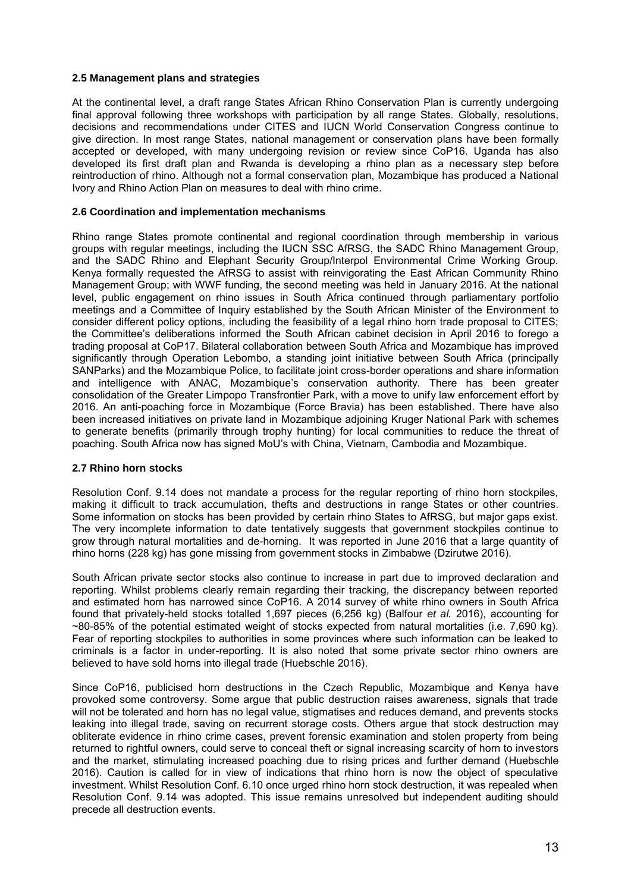# **2.5 Management plans and strategies**

At the continental level, a draft range States African Rhino Conservation Plan is currently undergoing final approval following three workshops with participation by all range States. Globally, resolutions, decisions and recommendations under CITES and IUCN World Conservation Congress continue to give direction. In most range States, national management or conservation plans have been formally accepted or developed, with many undergoing revision or review since CoP16. Uganda has also developed its first draft plan and Rwanda is developing a rhino plan as a necessary step before reintroduction of rhino. Although not a formal conservation plan, Mozambique has produced a National Ivory and Rhino Action Plan on measures to deal with rhino crime.

### **2.6 Coordination and implementation mechanisms**

Rhino range States promote continental and regional coordination through membership in various groups with regular meetings, including the IUCN SSC AfRSG, the SADC Rhino Management Group, and the SADC Rhino and Elephant Security Group/Interpol Environmental Crime Working Group. Kenya formally requested the AfRSG to assist with reinvigorating the East African Community Rhino Management Group; with WWF funding, the second meeting was held in January 2016. At the national level, public engagement on rhino issues in South Africa continued through parliamentary portfolio meetings and a Committee of Inquiry established by the South African Minister of the Environment to consider different policy options, including the feasibility of a legal rhino horn trade proposal to CITES; the Committee's deliberations informed the South African cabinet decision in April 2016 to forego a trading proposal at CoP17. Bilateral collaboration between South Africa and Mozambique has improved significantly through Operation Lebombo, a standing joint initiative between South Africa (principally SANParks) and the Mozambique Police, to facilitate joint cross-border operations and share information and intelligence with ANAC, Mozambique's conservation authority. There has been greater consolidation of the Greater Limpopo Transfrontier Park, with a move to unify law enforcement effort by 2016. An anti-poaching force in Mozambique (Force Bravia) has been established. There have also been increased initiatives on private land in Mozambique adjoining Kruger National Park with schemes to generate benefits (primarily through trophy hunting) for local communities to reduce the threat of poaching. South Africa now has signed MoU's with China, Vietnam, Cambodia and Mozambique.

#### **2.7 Rhino horn stocks**

Resolution Conf. 9.14 does not mandate a process for the regular reporting of rhino horn stockpiles, making it difficult to track accumulation, thefts and destructions in range States or other countries. Some information on stocks has been provided by certain rhino States to AfRSG, but major gaps exist. The very incomplete information to date tentatively suggests that government stockpiles continue to grow through natural mortalities and de-horning. It was reported in June 2016 that a large quantity of rhino horns (228 kg) has gone missing from government stocks in Zimbabwe (Dzirutwe 2016).

South African private sector stocks also continue to increase in part due to improved declaration and reporting. Whilst problems clearly remain regarding their tracking, the discrepancy between reported and estimated horn has narrowed since CoP16. A 2014 survey of white rhino owners in South Africa found that privately-held stocks totalled 1,697 pieces (6,256 kg) (Balfour *et al.* 2016), accounting for ~80-85% of the potential estimated weight of stocks expected from natural mortalities (i.e. 7,690 kg). Fear of reporting stockpiles to authorities in some provinces where such information can be leaked to criminals is a factor in under-reporting. It is also noted that some private sector rhino owners are believed to have sold horns into illegal trade (Huebschle 2016).

Since CoP16, publicised horn destructions in the Czech Republic, Mozambique and Kenya have provoked some controversy. Some argue that public destruction raises awareness, signals that trade will not be tolerated and horn has no legal value, stigmatises and reduces demand, and prevents stocks leaking into illegal trade, saving on recurrent storage costs. Others argue that stock destruction may obliterate evidence in rhino crime cases, prevent forensic examination and stolen property from being returned to rightful owners, could serve to conceal theft or signal increasing scarcity of horn to investors and the market, stimulating increased poaching due to rising prices and further demand (Huebschle 2016). Caution is called for in view of indications that rhino horn is now the object of speculative investment. Whilst Resolution Conf. 6.10 once urged rhino horn stock destruction, it was repealed when Resolution Conf. 9.14 was adopted. This issue remains unresolved but independent auditing should precede all destruction events.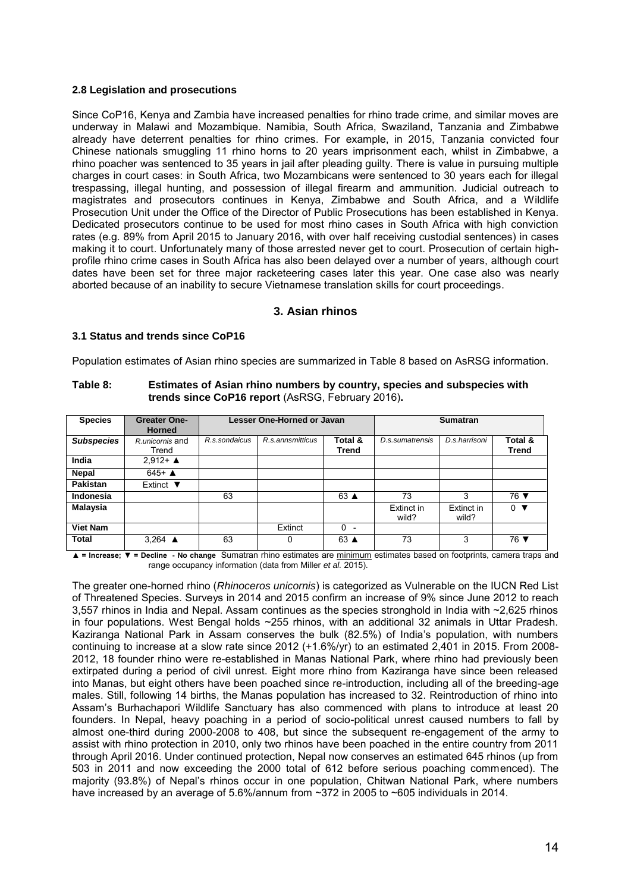### **2.8 Legislation and prosecutions**

Since CoP16, Kenya and Zambia have increased penalties for rhino trade crime, and similar moves are underway in Malawi and Mozambique. Namibia, South Africa, Swaziland, Tanzania and Zimbabwe already have deterrent penalties for rhino crimes. For example, in 2015, Tanzania convicted four Chinese nationals smuggling 11 rhino horns to 20 years imprisonment each, whilst in Zimbabwe, a rhino poacher was sentenced to 35 years in jail after pleading guilty. There is value in pursuing multiple charges in court cases: in South Africa, two Mozambicans were sentenced to 30 years each for illegal trespassing, illegal hunting, and possession of illegal firearm and ammunition. Judicial outreach to magistrates and prosecutors continues in Kenya, Zimbabwe and South Africa, and a Wildlife Prosecution Unit under the Office of the Director of Public Prosecutions has been established in Kenya. Dedicated prosecutors continue to be used for most rhino cases in South Africa with high conviction rates (e.g. 89% from April 2015 to January 2016, with over half receiving custodial sentences) in cases making it to court. Unfortunately many of those arrested never get to court. Prosecution of certain highprofile rhino crime cases in South Africa has also been delayed over a number of years, although court dates have been set for three major racketeering cases later this year. One case also was nearly aborted because of an inability to secure Vietnamese translation skills for court proceedings.

### **3. Asian rhinos**

### **3.1 Status and trends since CoP16**

Population estimates of Asian rhino species are summarized in Table 8 based on AsRSG information.

| Table 8: | Estimates of Asian rhino numbers by country, species and subspecies with |
|----------|--------------------------------------------------------------------------|
|          | trends since CoP16 report (AsRSG, February 2016).                        |

| <b>Species</b>    | <b>Greater One-</b>          |               | Lesser One-Horned or Javan |                     | <b>Sumatran</b> |               |                          |  |  |  |
|-------------------|------------------------------|---------------|----------------------------|---------------------|-----------------|---------------|--------------------------|--|--|--|
|                   | <b>Horned</b>                |               |                            |                     |                 |               |                          |  |  |  |
| <b>Subspecies</b> | R.unicornis and              | R.s.sondaicus | R.s.annsmitticus           | Total &             | D.s.sumatrensis | D.s.harrisoni | Total &                  |  |  |  |
|                   | Trend                        |               |                            | Trend               |                 |               | <b>Trend</b>             |  |  |  |
| India             | $2,912+ A$                   |               |                            |                     |                 |               |                          |  |  |  |
| <b>Nepal</b>      | $645+ A$                     |               |                            |                     |                 |               |                          |  |  |  |
| Pakistan          | Extinct $\blacktriangledown$ |               |                            |                     |                 |               |                          |  |  |  |
| Indonesia         |                              | 63            |                            | $63 \triangle$      | 73              | 3             | 76 ▼                     |  |  |  |
| Malaysia          |                              |               |                            |                     | Extinct in      | Extinct in    | $0$ $\blacktriangledown$ |  |  |  |
|                   |                              |               |                            |                     | wild?           | wild?         |                          |  |  |  |
| <b>Viet Nam</b>   |                              |               | Extinct                    | 0<br>$\blacksquare$ |                 |               |                          |  |  |  |
| <b>Total</b>      | 3,264 $\triangle$            | 63            | 0                          | $63 \triangle$      | 73              | 3             | 76 ▼                     |  |  |  |

**▲ = Increase; ▼ = Decline - No change** Sumatran rhino estimates are minimum estimates based on footprints, camera traps and range occupancy information (data from Miller *et al.* 2015).

The greater one-horned rhino (*Rhinoceros unicornis*) is categorized as Vulnerable on the IUCN Red List of Threatened Species. Surveys in 2014 and 2015 confirm an increase of 9% since June 2012 to reach 3,557 rhinos in India and Nepal. Assam continues as the species stronghold in India with ~2,625 rhinos in four populations. West Bengal holds ~255 rhinos, with an additional 32 animals in Uttar Pradesh. Kaziranga National Park in Assam conserves the bulk (82.5%) of India's population, with numbers continuing to increase at a slow rate since 2012 (+1.6%/yr) to an estimated 2,401 in 2015. From 2008- 2012, 18 founder rhino were re-established in Manas National Park, where rhino had previously been extirpated during a period of civil unrest. Eight more rhino from Kaziranga have since been released into Manas, but eight others have been poached since re-introduction, including all of the breeding-age males. Still, following 14 births, the Manas population has increased to 32. Reintroduction of rhino into Assam's Burhachapori Wildlife Sanctuary has also commenced with plans to introduce at least 20 founders. In Nepal, heavy poaching in a period of socio-political unrest caused numbers to fall by almost one-third during 2000-2008 to 408, but since the subsequent re-engagement of the army to assist with rhino protection in 2010, only two rhinos have been poached in the entire country from 2011 through April 2016. Under continued protection, Nepal now conserves an estimated 645 rhinos (up from 503 in 2011 and now exceeding the 2000 total of 612 before serious poaching commenced). The majority (93.8%) of Nepal's rhinos occur in one population, Chitwan National Park, where numbers have increased by an average of 5.6%/annum from ~372 in 2005 to ~605 individuals in 2014.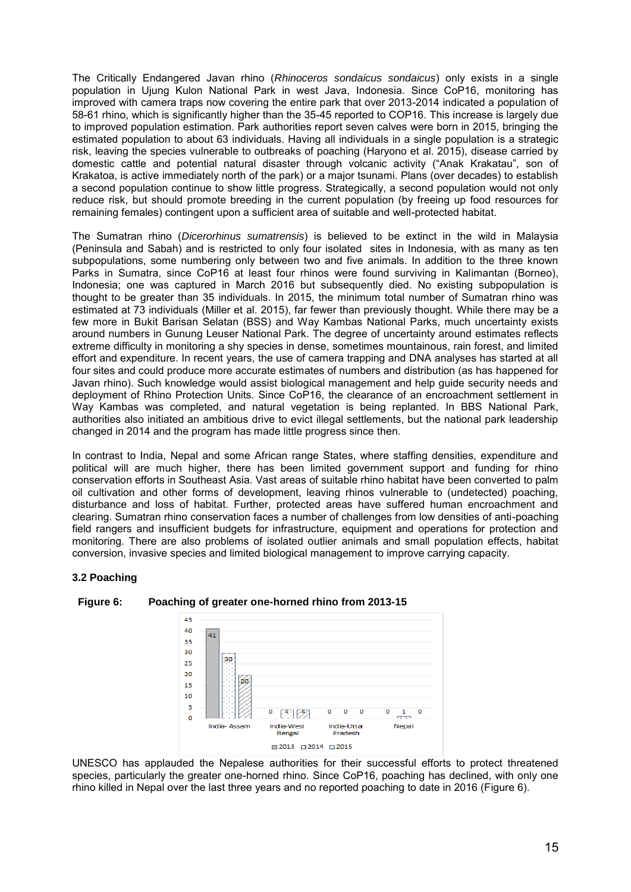The Critically Endangered Javan rhino (*Rhinoceros sondaicus sondaicus*) only exists in a single population in Ujung Kulon National Park in west Java, Indonesia. Since CoP16, monitoring has improved with camera traps now covering the entire park that over 2013-2014 indicated a population of 58-61 rhino, which is significantly higher than the 35-45 reported to COP16. This increase is largely due to improved population estimation. Park authorities report seven calves were born in 2015, bringing the estimated population to about 63 individuals. Having all individuals in a single population is a strategic risk, leaving the species vulnerable to outbreaks of poaching (Haryono et al. 2015), disease carried by domestic cattle and potential natural disaster through volcanic activity ("Anak Krakatau", son of Krakatoa, is active immediately north of the park) or a major tsunami. Plans (over decades) to establish a second population continue to show little progress. Strategically, a second population would not only reduce risk, but should promote breeding in the current population (by freeing up food resources for remaining females) contingent upon a sufficient area of suitable and well-protected habitat.

The Sumatran rhino (*Dicerorhinus sumatrensis*) is believed to be extinct in the wild in Malaysia (Peninsula and Sabah) and is restricted to only four isolated sites in Indonesia, with as many as ten subpopulations, some numbering only between two and five animals. In addition to the three known Parks in Sumatra, since CoP16 at least four rhinos were found surviving in Kalimantan (Borneo), Indonesia; one was captured in March 2016 but subsequently died. No existing subpopulation is thought to be greater than 35 individuals. In 2015, the minimum total number of Sumatran rhino was estimated at 73 individuals (Miller et al. 2015), far fewer than previously thought. While there may be a few more in Bukit Barisan Selatan (BSS) and Way Kambas National Parks, much uncertainty exists around numbers in Gunung Leuser National Park. The degree of uncertainty around estimates reflects extreme difficulty in monitoring a shy species in dense, sometimes mountainous, rain forest, and limited effort and expenditure. In recent years, the use of camera trapping and DNA analyses has started at all four sites and could produce more accurate estimates of numbers and distribution (as has happened for Javan rhino). Such knowledge would assist biological management and help guide security needs and deployment of Rhino Protection Units. Since CoP16, the clearance of an encroachment settlement in Way Kambas was completed, and natural vegetation is being replanted. In BBS National Park, authorities also initiated an ambitious drive to evict illegal settlements, but the national park leadership changed in 2014 and the program has made little progress since then.

In contrast to India, Nepal and some African range States, where staffing densities, expenditure and political will are much higher, there has been limited government support and funding for rhino conservation efforts in Southeast Asia. Vast areas of suitable rhino habitat have been converted to palm oil cultivation and other forms of development, leaving rhinos vulnerable to (undetected) poaching, disturbance and loss of habitat. Further, protected areas have suffered human encroachment and clearing. Sumatran rhino conservation faces a number of challenges from low densities of anti-poaching field rangers and insufficient budgets for infrastructure, equipment and operations for protection and monitoring. There are also problems of isolated outlier animals and small population effects, habitat conversion, invasive species and limited biological management to improve carrying capacity.

# **3.2 Poaching**



# **Figure 6: Poaching of greater one-horned rhino from 2013-15**

UNESCO has applauded the Nepalese authorities for their successful efforts to protect threatened species, particularly the greater one-horned rhino. Since CoP16, poaching has declined, with only one rhino killed in Nepal over the last three years and no reported poaching to date in 2016 (Figure 6).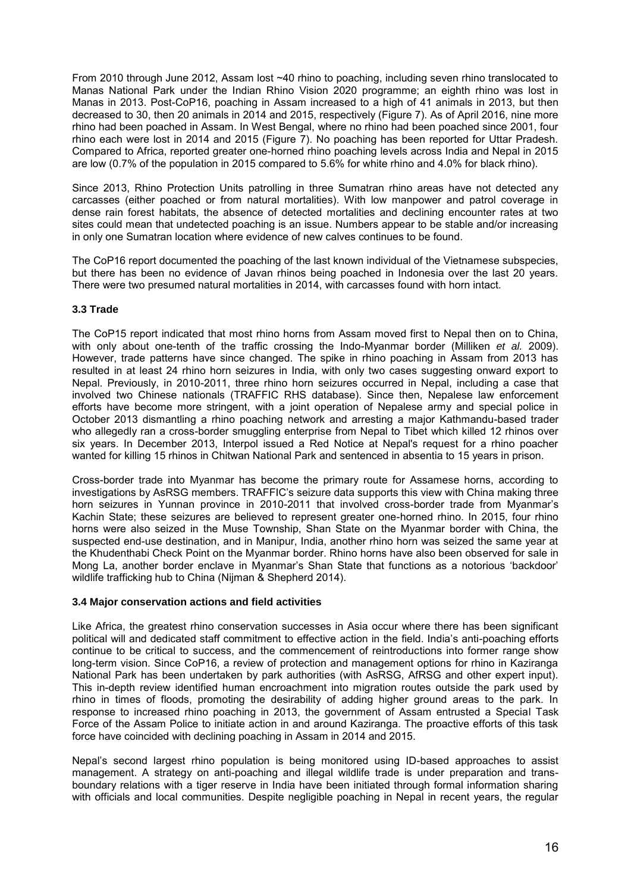From 2010 through June 2012, Assam lost ~40 rhino to poaching, including seven rhino translocated to Manas National Park under the Indian Rhino Vision 2020 programme; an eighth rhino was lost in Manas in 2013. Post-CoP16, poaching in Assam increased to a high of 41 animals in 2013, but then decreased to 30, then 20 animals in 2014 and 2015, respectively (Figure 7). As of April 2016, nine more rhino had been poached in Assam. In West Bengal, where no rhino had been poached since 2001, four rhino each were lost in 2014 and 2015 (Figure 7). No poaching has been reported for Uttar Pradesh. Compared to Africa, reported greater one-horned rhino poaching levels across India and Nepal in 2015 are low (0.7% of the population in 2015 compared to 5.6% for white rhino and 4.0% for black rhino).

Since 2013, Rhino Protection Units patrolling in three Sumatran rhino areas have not detected any carcasses (either poached or from natural mortalities). With low manpower and patrol coverage in dense rain forest habitats, the absence of detected mortalities and declining encounter rates at two sites could mean that undetected poaching is an issue. Numbers appear to be stable and/or increasing in only one Sumatran location where evidence of new calves continues to be found.

The CoP16 report documented the poaching of the last known individual of the Vietnamese subspecies, but there has been no evidence of Javan rhinos being poached in Indonesia over the last 20 years. There were two presumed natural mortalities in 2014, with carcasses found with horn intact.

# **3.3 Trade**

The CoP15 report indicated that most rhino horns from Assam moved first to Nepal then on to China, with only about one-tenth of the traffic crossing the Indo-Myanmar border (Milliken *et al.* 2009). However, trade patterns have since changed. The spike in rhino poaching in Assam from 2013 has resulted in at least 24 rhino horn seizures in India, with only two cases suggesting onward export to Nepal. Previously, in 2010-2011, three rhino horn seizures occurred in Nepal, including a case that involved two Chinese nationals (TRAFFIC RHS database). Since then, Nepalese law enforcement efforts have become more stringent, with a joint operation of Nepalese army and special police in October 2013 dismantling a rhino poaching network and arresting a major Kathmandu-based trader who allegedly ran a cross-border smuggling enterprise from Nepal to Tibet which killed 12 rhinos over six years. In December 2013, Interpol issued a Red Notice at Nepal's request for a rhino poacher wanted for killing 15 rhinos in Chitwan National Park and sentenced in absentia to 15 years in prison.

Cross-border trade into Myanmar has become the primary route for Assamese horns, according to investigations by AsRSG members. TRAFFIC's seizure data supports this view with China making three horn seizures in Yunnan province in 2010-2011 that involved cross-border trade from Myanmar's Kachin State; these seizures are believed to represent greater one-horned rhino. In 2015, four rhino horns were also seized in the Muse Township. Shan State on the Myanmar border with China, the suspected end-use destination, and in Manipur, India, another rhino horn was seized the same year at the Khudenthabi Check Point on the Myanmar border. Rhino horns have also been observed for sale in Mong La, another border enclave in Myanmar's Shan State that functions as a notorious 'backdoor' wildlife trafficking hub to China (Nijman & Shepherd 2014).

# **3.4 Major conservation actions and field activities**

Like Africa, the greatest rhino conservation successes in Asia occur where there has been significant political will and dedicated staff commitment to effective action in the field. India's anti-poaching efforts continue to be critical to success, and the commencement of reintroductions into former range show long-term vision. Since CoP16, a review of protection and management options for rhino in Kaziranga National Park has been undertaken by park authorities (with AsRSG, AfRSG and other expert input). This in-depth review identified human encroachment into migration routes outside the park used by rhino in times of floods, promoting the desirability of adding higher ground areas to the park. In response to increased rhino poaching in 2013, the government of Assam entrusted a Special Task Force of the Assam Police to initiate action in and around Kaziranga. The proactive efforts of this task force have coincided with declining poaching in Assam in 2014 and 2015.

Nepal's second largest rhino population is being monitored using ID-based approaches to assist management. A strategy on anti-poaching and illegal wildlife trade is under preparation and transboundary relations with a tiger reserve in India have been initiated through formal information sharing with officials and local communities. Despite negligible poaching in Nepal in recent years, the regular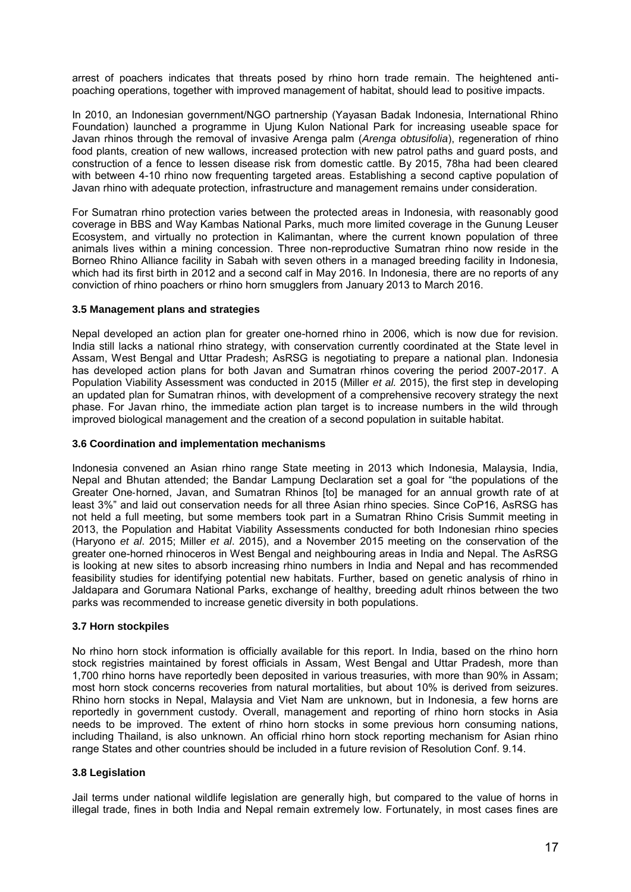arrest of poachers indicates that threats posed by rhino horn trade remain. The heightened antipoaching operations, together with improved management of habitat, should lead to positive impacts.

In 2010, an Indonesian government/NGO partnership (Yayasan Badak Indonesia, International Rhino Foundation) launched a programme in Ujung Kulon National Park for increasing useable space for Javan rhinos through the removal of invasive Arenga palm (*Arenga obtusifolia*), regeneration of rhino food plants, creation of new wallows, increased protection with new patrol paths and guard posts, and construction of a fence to lessen disease risk from domestic cattle. By 2015, 78ha had been cleared with between 4-10 rhino now frequenting targeted areas. Establishing a second captive population of Javan rhino with adequate protection, infrastructure and management remains under consideration.

For Sumatran rhino protection varies between the protected areas in Indonesia, with reasonably good coverage in BBS and Way Kambas National Parks, much more limited coverage in the Gunung Leuser Ecosystem, and virtually no protection in Kalimantan, where the current known population of three animals lives within a mining concession. Three non-reproductive Sumatran rhino now reside in the Borneo Rhino Alliance facility in Sabah with seven others in a managed breeding facility in Indonesia, which had its first birth in 2012 and a second calf in May 2016. In Indonesia, there are no reports of any conviction of rhino poachers or rhino horn smugglers from January 2013 to March 2016.

### **3.5 Management plans and strategies**

Nepal developed an action plan for greater one-horned rhino in 2006, which is now due for revision. India still lacks a national rhino strategy, with conservation currently coordinated at the State level in Assam, West Bengal and Uttar Pradesh; AsRSG is negotiating to prepare a national plan. Indonesia has developed action plans for both Javan and Sumatran rhinos covering the period 2007-2017. A Population Viability Assessment was conducted in 2015 (Miller *et al.* 2015), the first step in developing an updated plan for Sumatran rhinos, with development of a comprehensive recovery strategy the next phase. For Javan rhino, the immediate action plan target is to increase numbers in the wild through improved biological management and the creation of a second population in suitable habitat.

### **3.6 Coordination and implementation mechanisms**

Indonesia convened an Asian rhino range State meeting in 2013 which Indonesia, Malaysia, India, Nepal and Bhutan attended; the Bandar Lampung Declaration set a goal for "the populations of the Greater One‐horned, Javan, and Sumatran Rhinos [to] be managed for an annual growth rate of at least 3%" and laid out conservation needs for all three Asian rhino species. Since CoP16, AsRSG has not held a full meeting, but some members took part in a Sumatran Rhino Crisis Summit meeting in 2013, the Population and Habitat Viability Assessments conducted for both Indonesian rhino species (Haryono *et al*. 2015; Miller *et al*. 2015), and a November 2015 meeting on the conservation of the greater one-horned rhinoceros in West Bengal and neighbouring areas in India and Nepal. The AsRSG is looking at new sites to absorb increasing rhino numbers in India and Nepal and has recommended feasibility studies for identifying potential new habitats. Further, based on genetic analysis of rhino in Jaldapara and Gorumara National Parks, exchange of healthy, breeding adult rhinos between the two parks was recommended to increase genetic diversity in both populations.

#### **3.7 Horn stockpiles**

No rhino horn stock information is officially available for this report. In India, based on the rhino horn stock registries maintained by forest officials in Assam, West Bengal and Uttar Pradesh, more than 1,700 rhino horns have reportedly been deposited in various treasuries, with more than 90% in Assam; most horn stock concerns recoveries from natural mortalities, but about 10% is derived from seizures. Rhino horn stocks in Nepal, Malaysia and Viet Nam are unknown, but in Indonesia, a few horns are reportedly in government custody. Overall, management and reporting of rhino horn stocks in Asia needs to be improved. The extent of rhino horn stocks in some previous horn consuming nations, including Thailand, is also unknown. An official rhino horn stock reporting mechanism for Asian rhino range States and other countries should be included in a future revision of Resolution Conf. 9.14.

# **3.8 Legislation**

Jail terms under national wildlife legislation are generally high, but compared to the value of horns in illegal trade, fines in both India and Nepal remain extremely low. Fortunately, in most cases fines are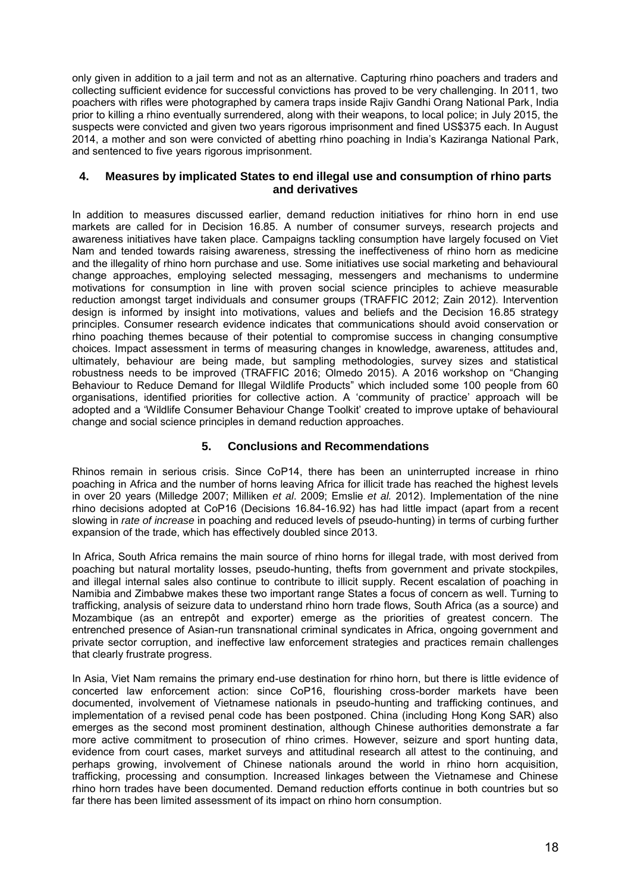only given in addition to a jail term and not as an alternative. Capturing rhino poachers and traders and collecting sufficient evidence for successful convictions has proved to be very challenging. In 2011, two poachers with rifles were photographed by camera traps inside Rajiv Gandhi Orang National Park, India prior to killing a rhino eventually surrendered, along with their weapons, to local police; in July 2015, the suspects were convicted and given two years rigorous imprisonment and fined US\$375 each. In August 2014, a mother and son were convicted of abetting rhino poaching in India's Kaziranga National Park, and sentenced to five years rigorous imprisonment.

# **4. Measures by implicated States to end illegal use and consumption of rhino parts and derivatives**

In addition to measures discussed earlier, demand reduction initiatives for rhino horn in end use markets are called for in Decision 16.85. A number of consumer surveys, research projects and awareness initiatives have taken place. Campaigns tackling consumption have largely focused on Viet Nam and tended towards raising awareness, stressing the ineffectiveness of rhino horn as medicine and the illegality of rhino horn purchase and use. Some initiatives use social marketing and behavioural change approaches, employing selected messaging, messengers and mechanisms to undermine motivations for consumption in line with proven social science principles to achieve measurable reduction amongst target individuals and consumer groups (TRAFFIC 2012; Zain 2012). Intervention design is informed by insight into motivations, values and beliefs and the Decision 16.85 strategy principles. Consumer research evidence indicates that communications should avoid conservation or rhino poaching themes because of their potential to compromise success in changing consumptive choices. Impact assessment in terms of measuring changes in knowledge, awareness, attitudes and, ultimately, behaviour are being made, but sampling methodologies, survey sizes and statistical robustness needs to be improved (TRAFFIC 2016; Olmedo 2015). A 2016 workshop on "Changing Behaviour to Reduce Demand for Illegal Wildlife Products" which included some 100 people from 60 organisations, identified priorities for collective action. A 'community of practice' approach will be adopted and a 'Wildlife Consumer Behaviour Change Toolkit' created to improve uptake of behavioural change and social science principles in demand reduction approaches.

# **5. Conclusions and Recommendations**

Rhinos remain in serious crisis. Since CoP14, there has been an uninterrupted increase in rhino poaching in Africa and the number of horns leaving Africa for illicit trade has reached the highest levels in over 20 years (Milledge 2007; Milliken *et al*. 2009; Emslie *et al.* 2012). Implementation of the nine rhino decisions adopted at CoP16 (Decisions 16.84-16.92) has had little impact (apart from a recent slowing in *rate of increase* in poaching and reduced levels of pseudo-hunting) in terms of curbing further expansion of the trade, which has effectively doubled since 2013.

In Africa, South Africa remains the main source of rhino horns for illegal trade, with most derived from poaching but natural mortality losses, pseudo-hunting, thefts from government and private stockpiles, and illegal internal sales also continue to contribute to illicit supply. Recent escalation of poaching in Namibia and Zimbabwe makes these two important range States a focus of concern as well. Turning to trafficking, analysis of seizure data to understand rhino horn trade flows, South Africa (as a source) and Mozambique (as an entrepôt and exporter) emerge as the priorities of greatest concern. The entrenched presence of Asian-run transnational criminal syndicates in Africa, ongoing government and private sector corruption, and ineffective law enforcement strategies and practices remain challenges that clearly frustrate progress.

In Asia, Viet Nam remains the primary end-use destination for rhino horn, but there is little evidence of concerted law enforcement action: since CoP16, flourishing cross-border markets have been documented, involvement of Vietnamese nationals in pseudo-hunting and trafficking continues, and implementation of a revised penal code has been postponed. China (including Hong Kong SAR) also emerges as the second most prominent destination, although Chinese authorities demonstrate a far more active commitment to prosecution of rhino crimes. However, seizure and sport hunting data, evidence from court cases, market surveys and attitudinal research all attest to the continuing, and perhaps growing, involvement of Chinese nationals around the world in rhino horn acquisition, trafficking, processing and consumption. Increased linkages between the Vietnamese and Chinese rhino horn trades have been documented. Demand reduction efforts continue in both countries but so far there has been limited assessment of its impact on rhino horn consumption.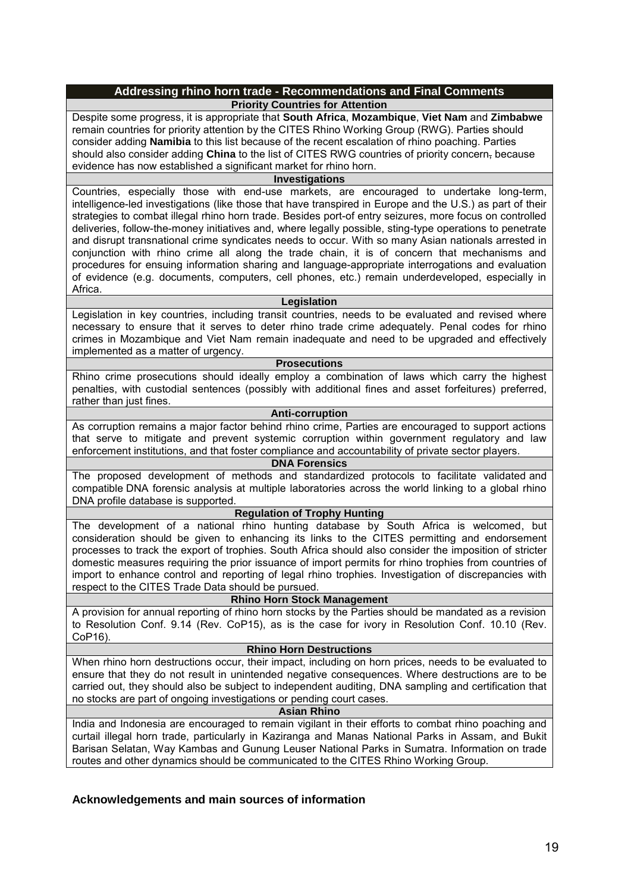### **Addressing rhino horn trade - Recommendations and Final Comments Priority Countries for Attention**

Despite some progress, it is appropriate that **South Africa**, **Mozambique**, **Viet Nam** and **Zimbabwe** remain countries for priority attention by the CITES Rhino Working Group (RWG). Parties should consider adding **Namibia** to this list because of the recent escalation of rhino poaching. Parties should also consider adding **China** to the list of CITES RWG countries of priority concern, because evidence has now established a significant market for rhino horn.

#### **Investigations**

Countries, especially those with end-use markets, are encouraged to undertake long-term, intelligence-led investigations (like those that have transpired in Europe and the U.S.) as part of their strategies to combat illegal rhino horn trade. Besides port-of entry seizures, more focus on controlled deliveries, follow-the-money initiatives and, where legally possible, sting-type operations to penetrate and disrupt transnational crime syndicates needs to occur. With so many Asian nationals arrested in conjunction with rhino crime all along the trade chain, it is of concern that mechanisms and procedures for ensuing information sharing and language-appropriate interrogations and evaluation of evidence (e.g. documents, computers, cell phones, etc.) remain underdeveloped, especially in Africa.

#### **Legislation**

Legislation in key countries, including transit countries, needs to be evaluated and revised where necessary to ensure that it serves to deter rhino trade crime adequately. Penal codes for rhino crimes in Mozambique and Viet Nam remain inadequate and need to be upgraded and effectively implemented as a matter of urgency.

# **Prosecutions**

Rhino crime prosecutions should ideally employ a combination of laws which carry the highest penalties, with custodial sentences (possibly with additional fines and asset forfeitures) preferred, rather than just fines.

#### **Anti-corruption**

As corruption remains a major factor behind rhino crime, Parties are encouraged to support actions that serve to mitigate and prevent systemic corruption within government regulatory and law enforcement institutions, and that foster compliance and accountability of private sector players.

#### **DNA Forensics**

The proposed development of methods and standardized protocols to facilitate validated and compatible DNA forensic analysis at multiple laboratories across the world linking to a global rhino DNA profile database is supported.

### **Regulation of Trophy Hunting**

The development of a national rhino hunting database by South Africa is welcomed, but consideration should be given to enhancing its links to the CITES permitting and endorsement processes to track the export of trophies. South Africa should also consider the imposition of stricter domestic measures requiring the prior issuance of import permits for rhino trophies from countries of import to enhance control and reporting of legal rhino trophies. Investigation of discrepancies with respect to the CITES Trade Data should be pursued.

# **Rhino Horn Stock Management**

A provision for annual reporting of rhino horn stocks by the Parties should be mandated as a revision to Resolution Conf. 9.14 (Rev. CoP15), as is the case for ivory in Resolution Conf. 10.10 (Rev. CoP16).

### **Rhino Horn Destructions**

When rhino horn destructions occur, their impact, including on horn prices, needs to be evaluated to ensure that they do not result in unintended negative consequences. Where destructions are to be carried out, they should also be subject to independent auditing, DNA sampling and certification that no stocks are part of ongoing investigations or pending court cases.

#### **Asian Rhino**

India and Indonesia are encouraged to remain vigilant in their efforts to combat rhino poaching and curtail illegal horn trade, particularly in Kaziranga and Manas National Parks in Assam, and Bukit Barisan Selatan, Way Kambas and Gunung Leuser National Parks in Sumatra. Information on trade routes and other dynamics should be communicated to the CITES Rhino Working Group.

# **Acknowledgements and main sources of information**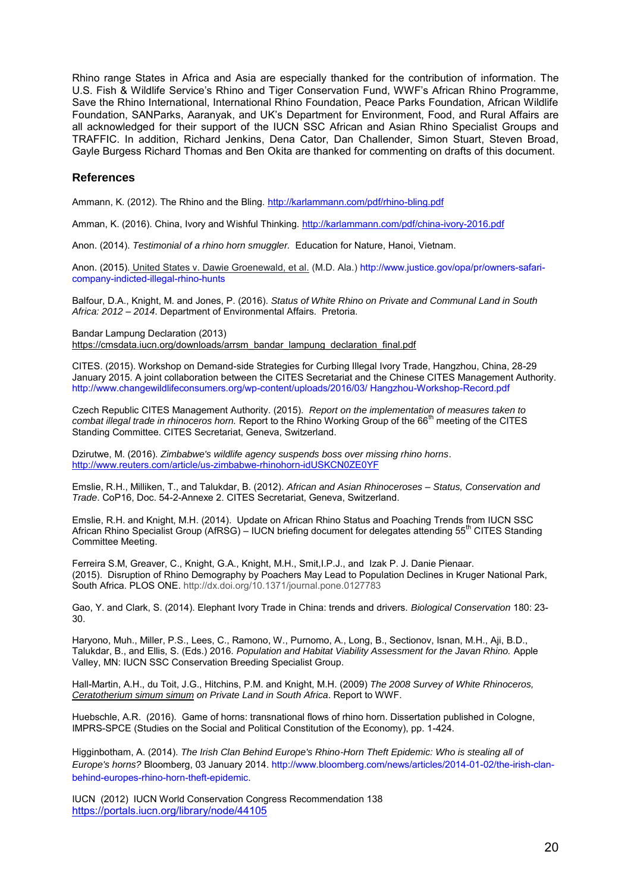Rhino range States in Africa and Asia are especially thanked for the contribution of information. The U.S. Fish & Wildlife Service's Rhino and Tiger Conservation Fund, WWF's African Rhino Programme, Save the Rhino International, International Rhino Foundation, Peace Parks Foundation, African Wildlife Foundation, SANParks, Aaranyak, and UK's Department for Environment, Food, and Rural Affairs are all acknowledged for their support of the IUCN SSC African and Asian Rhino Specialist Groups and TRAFFIC. In addition, Richard Jenkins, Dena Cator, Dan Challender, Simon Stuart, Steven Broad, Gayle Burgess Richard Thomas and Ben Okita are thanked for commenting on drafts of this document.

# **References**

Ammann, K. (2012). The Rhino and the Bling[. http://karlammann.com/pdf/rhino-bling.pdf](http://karlammann.com/pdf/rhino-bling.pdf)

Amman, K. (2016). China, Ivory and Wishful Thinking.<http://karlammann.com/pdf/china-ivory-2016.pdf>

Anon. (2014). *Testimonial of a rhino horn smuggler.* Education for Nature, Hanoi, Vietnam.

Anon. (2015). United States v. Dawie Groenewald, et al. (M.D. Ala.) [http://www.justice.gov/opa/pr/owners-safari](https://www.justice.gov/opa/pr/owners-safari-company-indicted-illegal-rhino-hunts)[company-indicted-illegal-rhino-hunts](https://www.justice.gov/opa/pr/owners-safari-company-indicted-illegal-rhino-hunts)

Balfour, D.A., Knight, M. and Jones, P. (2016). *Status of White Rhino on Private and Communal Land in South Africa: 2012 – 2014*. Department of Environmental Affairs. Pretoria.

Bandar Lampung Declaration (2013) [https://cmsdata.iucn.org/downloads/arrsm\\_bandar\\_lampung\\_declaration\\_final.pdf](https://cmsdata.iucn.org/downloads/arrsm_bandar_lampung_declaration_final.pdf)

CITES. (2015). Workshop on Demand-side Strategies for Curbing Illegal Ivory Trade, Hangzhou, China, 28-29 January 2015. A joint collaboration between the CITES Secretariat and the Chinese CITES Management Authority. http://www.changewildlifeconsumers.org/wp-content/uploads/2016/03/ Hangzhou-Workshop-Record.pdf

Czech Republic CITES Management Authority. (2015). *Report on the implementation of measures taken to combat illegal trade in rhinoceros horn.* Report to the Rhino Working Group of the 66<sup>th</sup> meeting of the CITES Standing Committee. CITES Secretariat, Geneva, Switzerland.

Dzirutwe, M. (2016). *Zimbabwe's wildlife agency suspends boss over missing rhino horns*. <http://www.reuters.com/article/us-zimbabwe-rhinohorn-idUSKCN0ZE0YF>

Emslie, R.H., Milliken, T., and Talukdar, B. (2012). *African and Asian Rhinoceroses – Status, Conservation and Trade*. CoP16, Doc. 54-2-Annexe 2. CITES Secretariat, Geneva, Switzerland.

Emslie, R.H. and Knight, M.H. (2014). Update on African Rhino Status and Poaching Trends from IUCN SSC African Rhino Specialist Group  $(AfRSG) - IUCN$  briefing document for delegates attending 55<sup>th</sup> CITES Standing Committee Meeting.

Ferreira S.M, Greaver, C., Knight, G.A., Knight, M.H., Smit,I.P.J., and Izak P. J. Danie Pienaar. (2015). Disruption of Rhino Demography by Poachers May Lead to Population Declines in Kruger National Park, South Africa. PLOS ONE.<http://dx.doi.org/10.1371/journal.pone.0127783>

Gao, Y. and Clark, S. (2014). Elephant Ivory Trade in China: trends and drivers. *Biological Conservation* 180: 23- 30.

Haryono, Muh., Miller, P.S., Lees, C., Ramono, W., Purnomo, A., Long, B., Sectionov, Isnan, M.H., Aji, B.D., Talukdar, B., and Ellis, S. (Eds.) 2016. *Population and Habitat Viability Assessment for the Javan Rhino.* Apple Valley, MN: IUCN SSC Conservation Breeding Specialist Group.

Hall-Martin, A.H., du Toit, J.G., Hitchins, P.M. an[d Knight, M.H.](http://www.rhinoresourcecenter.com/index.php?s=1&act=refs&CODE=s_refs&boolean=or&author=Knight%2C+M.H.) (2009) *The 2008 Survey of White Rhinoceros, Ceratotherium simum simum on Private Land in South Africa*. Report to WWF.

Huebschle, A.R. (2016). Game of horns: transnational flows of rhino horn. Dissertation published in Cologne, IMPRS-SPCE (Studies on the Social and Political Constitution of the Economy), pp. 1-424.

Higginbotham, A. (2014). *The Irish Clan Behind Europe's Rhino-Horn Theft Epidemic: Who is stealing all of Europe's horns?* Bloomberg, 03 January 2014. http://www.bloomberg.com/news/articles/2014-01-02/the-irish-clanbehind-europes-rhino-horn-theft-epidemic.

IUCN (2012) IUCN World Conservation Congress Recommendation 138 <https://portals.iucn.org/library/node/44105>